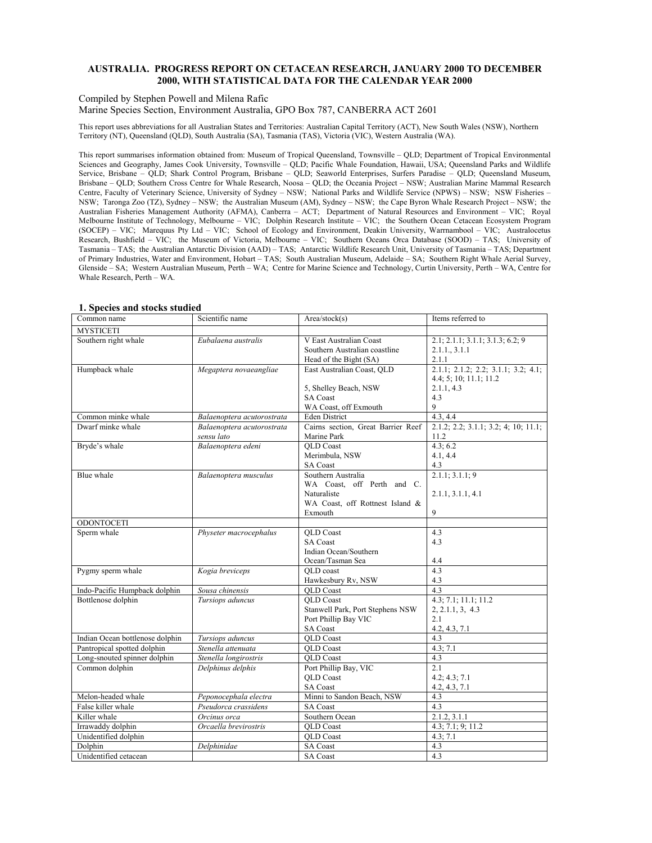### **AUSTRALIA. PROGRESS REPORT ON CETACEAN RESEARCH, JANUARY 2000 TO DECEMBER 2000, WITH STATISTICAL DATA FOR THE CALENDAR YEAR 2000**

Compiled by Stephen Powell and Milena Rafic

Marine Species Section, Environment Australia, GPO Box 787, CANBERRA ACT 2601

This report uses abbreviations for all Australian States and Territories: Australian Capital Territory (ACT), New South Wales (NSW), Northern Territory (NT), Queensland (QLD), South Australia (SA), Tasmania (TAS), Victoria (VIC), Western Australia (WA).

This report summarises information obtained from: Museum of Tropical Queensland, Townsville – QLD; Department of Tropical Environmental Sciences and Geography, James Cook University, Townsville – QLD; Pacific Whale Foundation, Hawaii, USA; Queensland Parks and Wildlife Service, Brisbane – QLD; Shark Control Program, Brisbane – QLD; Seaworld Enterprises, Surfers Paradise – QLD; Queensland Museum, Brisbane – QLD; Southern Cross Centre for Whale Research, Noosa – QLD; the Oceania Project – NSW; Australian Marine Mammal Research Centre, Faculty of Veterinary Science, University of Sydney – NSW; National Parks and Wildlife Service (NPWS) – NSW; NSW Fisheries – NSW; Taronga Zoo (TZ), Sydney – NSW; the Australian Museum (AM), Sydney – NSW; the Cape Byron Whale Research Project – NSW; the Australian Fisheries Management Authority (AFMA), Canberra – ACT; Department of Natural Resources and Environment – VIC; Royal Melbourne Institute of Technology, Melbourne – VIC; Dolphin Research Institute – VIC; the Southern Ocean Cetacean Ecosystem Program (SOCEP) – VIC; Marequus Pty Ltd – VIC; School of Ecology and Environment, Deakin University, Warrnambool – VIC; Australocetus Research, Bushfield – VIC; the Museum of Victoria, Melbourne – VIC; Southern Oceans Orca Database (SOOD) – TAS; University of Tasmania – TAS; the Australian Antarctic Division (AAD) – TAS; Antarctic Wildlife Research Unit, University of Tasmania – TAS; Department of Primary Industries, Water and Environment, Hobart – TAS; South Australian Museum, Adelaide – SA; Southern Right Whale Aerial Survey, Glenside – SA; Western Australian Museum, Perth – WA; Centre for Marine Science and Technology, Curtin University, Perth – WA, Centre for Whale Research, Perth – WA.

| 1. эрсскэ ани эшскэ эшик<br>Common name | Scientific name                  | Area/stock(s)                       | Items referred to                    |
|-----------------------------------------|----------------------------------|-------------------------------------|--------------------------------------|
| <b>MYSTICETI</b>                        |                                  |                                     |                                      |
| Southern right whale                    | Eubalaena australis              | V East Australian Coast             | 2.1; 2.1.1; 3.1.1; 3.1.3; 6.2; 9     |
|                                         |                                  | Southern Australian coastline       | 2.1.13.1.1                           |
|                                         |                                  | Head of the Bight (SA)              | 2.1.1                                |
| Humpback whale                          | Megaptera novaeangliae           | East Australian Coast, QLD          | 2.1.1; 2.1.2; 2.2; 3.1.1; 3.2; 4.1;  |
|                                         |                                  |                                     | 4.4; 5; 10; 11.1; 11.2               |
|                                         |                                  | 5, Shelley Beach, NSW               | 2.1.1, 4.3                           |
|                                         |                                  | <b>SA Coast</b>                     | 4.3                                  |
|                                         |                                  | WA Coast, off Exmouth               | 9                                    |
| Common minke whale                      | Balaenoptera acutorostrata       | <b>Eden District</b>                | 4.3, 4.4                             |
| Dwarf minke whale                       | Balaenoptera acutorostrata       | Cairns section, Great Barrier Reef  | 2.1.2; 2.2; 3.1.1; 3.2; 4; 10; 11.1; |
|                                         | sensu lato<br>Balaenoptera edeni | Marine Park                         | 11.2                                 |
| Bryde's whale                           |                                  | <b>OLD</b> Coast<br>Merimbula, NSW  | 4.3; 6.2                             |
|                                         |                                  | SA Coast                            | 4.1, 4.4<br>4.3                      |
| Blue whale                              | Balaenoptera musculus            | Southern Australia                  | 2.1.1; 3.1.1; 9                      |
|                                         |                                  | WA Coast, off Perth and C.          |                                      |
|                                         |                                  | Naturaliste                         | 2.1.1, 3.1.1, 4.1                    |
|                                         |                                  | WA Coast, off Rottnest Island &     |                                      |
|                                         |                                  | Exmouth                             | 9                                    |
| <b>ODONTOCETI</b>                       |                                  |                                     |                                      |
| Sperm whale                             | Physeter macrocephalus           | <b>OLD</b> Coast                    | 4.3                                  |
|                                         |                                  | <b>SA Coast</b>                     | 4.3                                  |
|                                         |                                  | Indian Ocean/Southern               |                                      |
|                                         |                                  | Ocean/Tasman Sea                    | 4.4                                  |
| Pygmy sperm whale                       | Kogia breviceps                  | OLD coast                           | 4.3                                  |
|                                         |                                  | Hawkesbury Rv, NSW                  | 4.3                                  |
| Indo-Pacific Humpback dolphin           | Sousa chinensis                  | <b>QLD</b> Coast                    | 4.3                                  |
| Bottlenose dolphin                      | Tursiops aduncus                 | <b>QLD</b> Coast                    | 4.3; 7.1; 11.1; 11.2                 |
|                                         |                                  | Stanwell Park, Port Stephens NSW    | 2, 2.1.1, 3, 4.3                     |
|                                         |                                  | Port Phillip Bay VIC                | 2.1                                  |
| Indian Ocean bottlenose dolphin         | Tursiops aduncus                 | <b>SA Coast</b><br><b>OLD</b> Coast | 4.2, 4.3, 7.1<br>4.3                 |
| Pantropical spotted dolphin             | Stenella attenuata               | <b>QLD</b> Coast                    | 4.3; 7.1                             |
| Long-snouted spinner dolphin            | Stenella longirostris            | <b>OLD</b> Coast                    | 4.3                                  |
| Common dolphin                          | Delphinus delphis                | Port Phillip Bay, VIC               | 2.1                                  |
|                                         |                                  | <b>OLD</b> Coast                    | 4.2; 4.3; 7.1                        |
|                                         |                                  | <b>SA Coast</b>                     | 4.2, 4.3, 7.1                        |
| Melon-headed whale                      | Peponocephala electra            | Minni to Sandon Beach, NSW          | 4.3                                  |
| False killer whale                      | Pseudorca crassidens             | <b>SA Coast</b>                     | 4.3                                  |
| Killer whale                            | Orcinus orca                     | Southern Ocean                      | 2.1.2, 3.1.1                         |
| Irrawaddy dolphin                       | Orcaella brevirostris            | <b>QLD</b> Coast                    | 4.3; 7.1; 9; 11.2                    |
| Unidentified dolphin                    |                                  | <b>QLD</b> Coast                    | 4.3; 7.1                             |
| Dolphin                                 | Delphinidae                      | <b>SA Coast</b>                     | 4.3                                  |
| Unidentified cetacean                   |                                  | SA Coast                            | 4.3                                  |

### **1. Species and stocks studied**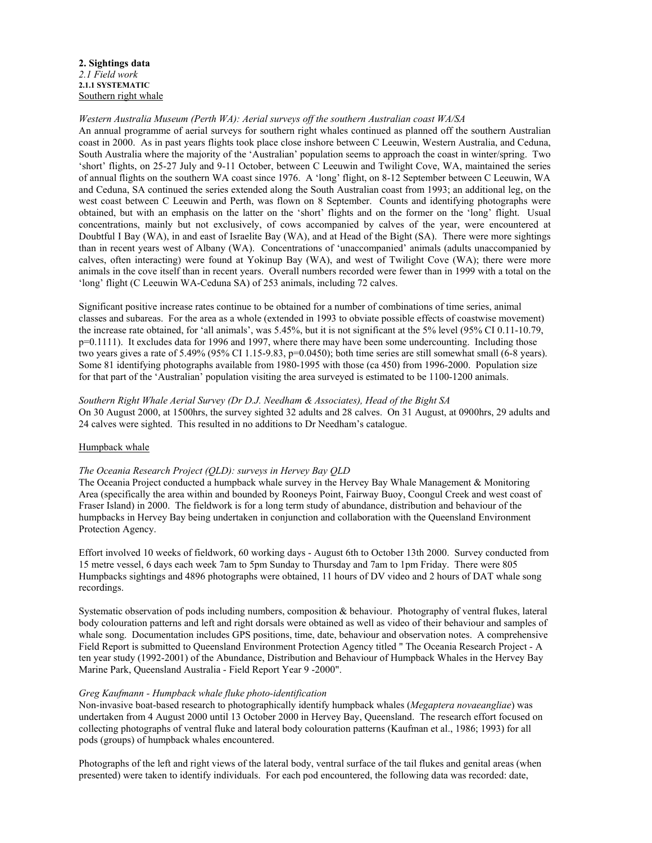**2. Sightings data**  *2.1 Field work*  **2.1.1 SYSTEMATIC**  Southern right whale

### *Western Australia Museum (Perth WA): Aerial surveys off the southern Australian coast WA/SA*

An annual programme of aerial surveys for southern right whales continued as planned off the southern Australian coast in 2000. As in past years flights took place close inshore between C Leeuwin, Western Australia, and Ceduna, South Australia where the majority of the 'Australian' population seems to approach the coast in winter/spring. Two 'short' flights, on 25-27 July and 9-11 October, between C Leeuwin and Twilight Cove, WA, maintained the series of annual flights on the southern WA coast since 1976. A 'long' flight, on 8-12 September between C Leeuwin, WA and Ceduna, SA continued the series extended along the South Australian coast from 1993; an additional leg, on the west coast between C Leeuwin and Perth, was flown on 8 September. Counts and identifying photographs were obtained, but with an emphasis on the latter on the 'short' flights and on the former on the 'long' flight. Usual concentrations, mainly but not exclusively, of cows accompanied by calves of the year, were encountered at Doubtful I Bay (WA), in and east of Israelite Bay (WA), and at Head of the Bight (SA). There were more sightings than in recent years west of Albany (WA). Concentrations of 'unaccompanied' animals (adults unaccompanied by calves, often interacting) were found at Yokinup Bay (WA), and west of Twilight Cove (WA); there were more animals in the cove itself than in recent years. Overall numbers recorded were fewer than in 1999 with a total on the 'long' flight (C Leeuwin WA-Ceduna SA) of 253 animals, including 72 calves.

Significant positive increase rates continue to be obtained for a number of combinations of time series, animal classes and subareas. For the area as a whole (extended in 1993 to obviate possible effects of coastwise movement) the increase rate obtained, for 'all animals', was 5.45%, but it is not significant at the 5% level (95% CI 0.11-10.79, p=0.1111). It excludes data for 1996 and 1997, where there may have been some undercounting. Including those two years gives a rate of  $5.49\%$  (95% CI 1.15-9.83, p=0.0450); both time series are still somewhat small (6-8 years). Some 81 identifying photographs available from 1980-1995 with those (ca 450) from 1996-2000. Population size for that part of the 'Australian' population visiting the area surveyed is estimated to be 1100-1200 animals.

### *Southern Right Whale Aerial Survey (Dr D.J. Needham & Associates), Head of the Bight SA*

On 30 August 2000, at 1500hrs, the survey sighted 32 adults and 28 calves. On 31 August, at 0900hrs, 29 adults and 24 calves were sighted. This resulted in no additions to Dr Needham's catalogue.

### Humpback whale

### *The Oceania Research Project (QLD): surveys in Hervey Bay QLD*

The Oceania Project conducted a humpback whale survey in the Hervey Bay Whale Management & Monitoring Area (specifically the area within and bounded by Rooneys Point, Fairway Buoy, Coongul Creek and west coast of Fraser Island) in 2000. The fieldwork is for a long term study of abundance, distribution and behaviour of the humpbacks in Hervey Bay being undertaken in conjunction and collaboration with the Queensland Environment Protection Agency.

Effort involved 10 weeks of fieldwork, 60 working days - August 6th to October 13th 2000. Survey conducted from 15 metre vessel, 6 days each week 7am to 5pm Sunday to Thursday and 7am to 1pm Friday. There were 805 Humpbacks sightings and 4896 photographs were obtained, 11 hours of DV video and 2 hours of DAT whale song recordings.

Systematic observation of pods including numbers, composition & behaviour. Photography of ventral flukes, lateral body colouration patterns and left and right dorsals were obtained as well as video of their behaviour and samples of whale song. Documentation includes GPS positions, time, date, behaviour and observation notes. A comprehensive Field Report is submitted to Queensland Environment Protection Agency titled " The Oceania Research Project - A ten year study (1992-2001) of the Abundance, Distribution and Behaviour of Humpback Whales in the Hervey Bay Marine Park, Queensland Australia - Field Report Year 9 -2000".

### *Greg Kaufmann - Humpback whale fluke photo-identification*

Non-invasive boat-based research to photographically identify humpback whales (*Megaptera novaeangliae*) was undertaken from 4 August 2000 until 13 October 2000 in Hervey Bay, Queensland. The research effort focused on collecting photographs of ventral fluke and lateral body colouration patterns (Kaufman et al., 1986; 1993) for all pods (groups) of humpback whales encountered.

Photographs of the left and right views of the lateral body, ventral surface of the tail flukes and genital areas (when presented) were taken to identify individuals. For each pod encountered, the following data was recorded: date,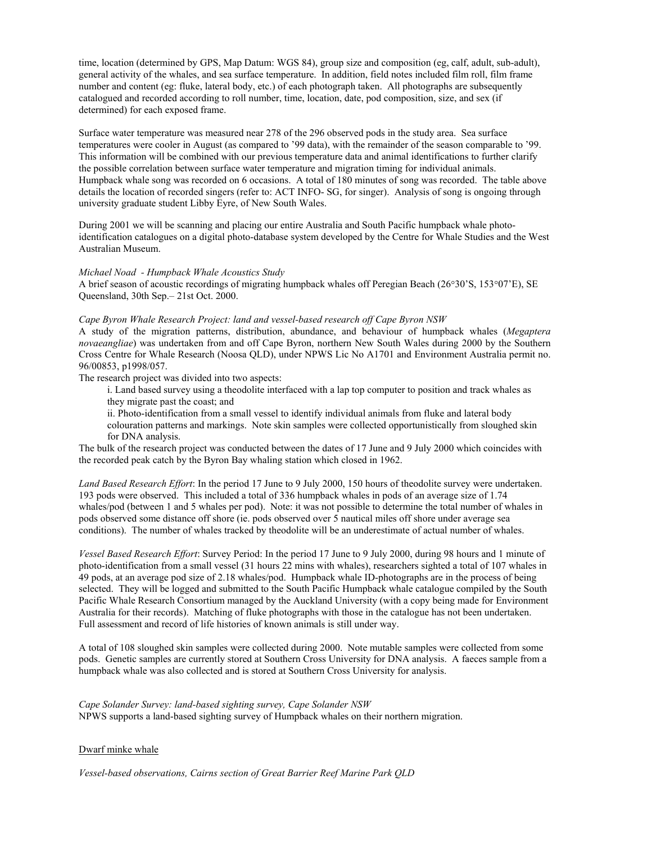time, location (determined by GPS, Map Datum: WGS 84), group size and composition (eg, calf, adult, sub-adult), general activity of the whales, and sea surface temperature. In addition, field notes included film roll, film frame number and content (eg: fluke, lateral body, etc.) of each photograph taken. All photographs are subsequently catalogued and recorded according to roll number, time, location, date, pod composition, size, and sex (if determined) for each exposed frame.

Surface water temperature was measured near 278 of the 296 observed pods in the study area. Sea surface temperatures were cooler in August (as compared to '99 data), with the remainder of the season comparable to '99. This information will be combined with our previous temperature data and animal identifications to further clarify the possible correlation between surface water temperature and migration timing for individual animals. Humpback whale song was recorded on 6 occasions. A total of 180 minutes of song was recorded. The table above details the location of recorded singers (refer to: ACT INFO- SG, for singer). Analysis of song is ongoing through university graduate student Libby Eyre, of New South Wales.

During 2001 we will be scanning and placing our entire Australia and South Pacific humpback whale photoidentification catalogues on a digital photo-database system developed by the Centre for Whale Studies and the West Australian Museum.

### *Michael Noad - Humpback Whale Acoustics Study*

A brief season of acoustic recordings of migrating humpback whales off Peregian Beach (26°30'S, 153°07'E), SE Queensland, 30th Sep.– 21st Oct. 2000.

### *Cape Byron Whale Research Project: land and vessel-based research off Cape Byron NSW*

A study of the migration patterns, distribution, abundance, and behaviour of humpback whales (*Megaptera novaeangliae*) was undertaken from and off Cape Byron, northern New South Wales during 2000 by the Southern Cross Centre for Whale Research (Noosa QLD), under NPWS Lic No A1701 and Environment Australia permit no. 96/00853, p1998/057.

The research project was divided into two aspects:

i. Land based survey using a theodolite interfaced with a lap top computer to position and track whales as they migrate past the coast; and

ii. Photo-identification from a small vessel to identify individual animals from fluke and lateral body colouration patterns and markings. Note skin samples were collected opportunistically from sloughed skin for DNA analysis.

The bulk of the research project was conducted between the dates of 17 June and 9 July 2000 which coincides with the recorded peak catch by the Byron Bay whaling station which closed in 1962.

*Land Based Research Effort*: In the period 17 June to 9 July 2000, 150 hours of theodolite survey were undertaken. 193 pods were observed. This included a total of 336 humpback whales in pods of an average size of 1.74 whales/pod (between 1 and 5 whales per pod). Note: it was not possible to determine the total number of whales in pods observed some distance off shore (ie. pods observed over 5 nautical miles off shore under average sea conditions). The number of whales tracked by theodolite will be an underestimate of actual number of whales.

*Vessel Based Research Effort*: Survey Period: In the period 17 June to 9 July 2000, during 98 hours and 1 minute of photo-identification from a small vessel (31 hours 22 mins with whales), researchers sighted a total of 107 whales in 49 pods, at an average pod size of 2.18 whales/pod. Humpback whale ID-photographs are in the process of being selected. They will be logged and submitted to the South Pacific Humpback whale catalogue compiled by the South Pacific Whale Research Consortium managed by the Auckland University (with a copy being made for Environment Australia for their records). Matching of fluke photographs with those in the catalogue has not been undertaken. Full assessment and record of life histories of known animals is still under way.

A total of 108 sloughed skin samples were collected during 2000. Note mutable samples were collected from some pods. Genetic samples are currently stored at Southern Cross University for DNA analysis. A faeces sample from a humpback whale was also collected and is stored at Southern Cross University for analysis.

*Cape Solander Survey: land-based sighting survey, Cape Solander NSW*  NPWS supports a land-based sighting survey of Humpback whales on their northern migration.

### Dwarf minke whale

*Vessel-based observations, Cairns section of Great Barrier Reef Marine Park QLD*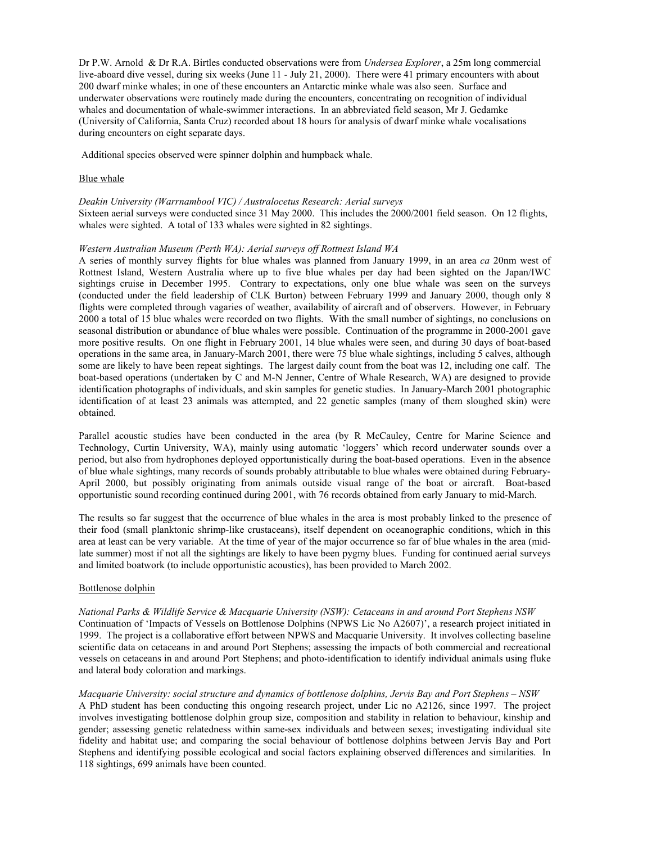Dr P.W. Arnold & Dr R.A. Birtles conducted observations were from *Undersea Explorer*, a 25m long commercial live-aboard dive vessel, during six weeks (June 11 - July 21, 2000). There were 41 primary encounters with about 200 dwarf minke whales; in one of these encounters an Antarctic minke whale was also seen. Surface and underwater observations were routinely made during the encounters, concentrating on recognition of individual whales and documentation of whale-swimmer interactions. In an abbreviated field season, Mr J. Gedamke (University of California, Santa Cruz) recorded about 18 hours for analysis of dwarf minke whale vocalisations during encounters on eight separate days.

Additional species observed were spinner dolphin and humpback whale.

### Blue whale

*Deakin University (Warrnambool VIC) / Australocetus Research: Aerial surveys*  Sixteen aerial surveys were conducted since 31 May 2000. This includes the 2000/2001 field season. On 12 flights, whales were sighted. A total of 133 whales were sighted in 82 sightings.

### *Western Australian Museum (Perth WA): Aerial surveys off Rottnest Island WA*

A series of monthly survey flights for blue whales was planned from January 1999, in an area *ca* 20nm west of Rottnest Island, Western Australia where up to five blue whales per day had been sighted on the Japan/IWC sightings cruise in December 1995. Contrary to expectations, only one blue whale was seen on the surveys (conducted under the field leadership of CLK Burton) between February 1999 and January 2000, though only 8 flights were completed through vagaries of weather, availability of aircraft and of observers. However, in February 2000 a total of 15 blue whales were recorded on two flights. With the small number of sightings, no conclusions on seasonal distribution or abundance of blue whales were possible. Continuation of the programme in 2000-2001 gave more positive results. On one flight in February 2001, 14 blue whales were seen, and during 30 days of boat-based operations in the same area, in January-March 2001, there were 75 blue whale sightings, including 5 calves, although some are likely to have been repeat sightings. The largest daily count from the boat was 12, including one calf. The boat-based operations (undertaken by C and M-N Jenner, Centre of Whale Research, WA) are designed to provide identification photographs of individuals, and skin samples for genetic studies. In January-March 2001 photographic identification of at least 23 animals was attempted, and 22 genetic samples (many of them sloughed skin) were obtained.

Parallel acoustic studies have been conducted in the area (by R McCauley, Centre for Marine Science and Technology, Curtin University, WA), mainly using automatic 'loggers' which record underwater sounds over a period, but also from hydrophones deployed opportunistically during the boat-based operations. Even in the absence of blue whale sightings, many records of sounds probably attributable to blue whales were obtained during February-April 2000, but possibly originating from animals outside visual range of the boat or aircraft. Boat-based opportunistic sound recording continued during 2001, with 76 records obtained from early January to mid-March.

The results so far suggest that the occurrence of blue whales in the area is most probably linked to the presence of their food (small planktonic shrimp-like crustaceans), itself dependent on oceanographic conditions, which in this area at least can be very variable. At the time of year of the major occurrence so far of blue whales in the area (midlate summer) most if not all the sightings are likely to have been pygmy blues. Funding for continued aerial surveys and limited boatwork (to include opportunistic acoustics), has been provided to March 2002.

### Bottlenose dolphin

*National Parks & Wildlife Service & Macquarie University (NSW): Cetaceans in and around Port Stephens NSW*  Continuation of 'Impacts of Vessels on Bottlenose Dolphins (NPWS Lic No A2607)', a research project initiated in 1999. The project is a collaborative effort between NPWS and Macquarie University. It involves collecting baseline scientific data on cetaceans in and around Port Stephens; assessing the impacts of both commercial and recreational vessels on cetaceans in and around Port Stephens; and photo-identification to identify individual animals using fluke and lateral body coloration and markings.

*Macquarie University: social structure and dynamics of bottlenose dolphins, Jervis Bay and Port Stephens – NSW*  A PhD student has been conducting this ongoing research project, under Lic no A2126, since 1997. The project involves investigating bottlenose dolphin group size, composition and stability in relation to behaviour, kinship and gender; assessing genetic relatedness within same-sex individuals and between sexes; investigating individual site fidelity and habitat use; and comparing the social behaviour of bottlenose dolphins between Jervis Bay and Port Stephens and identifying possible ecological and social factors explaining observed differences and similarities. In 118 sightings, 699 animals have been counted.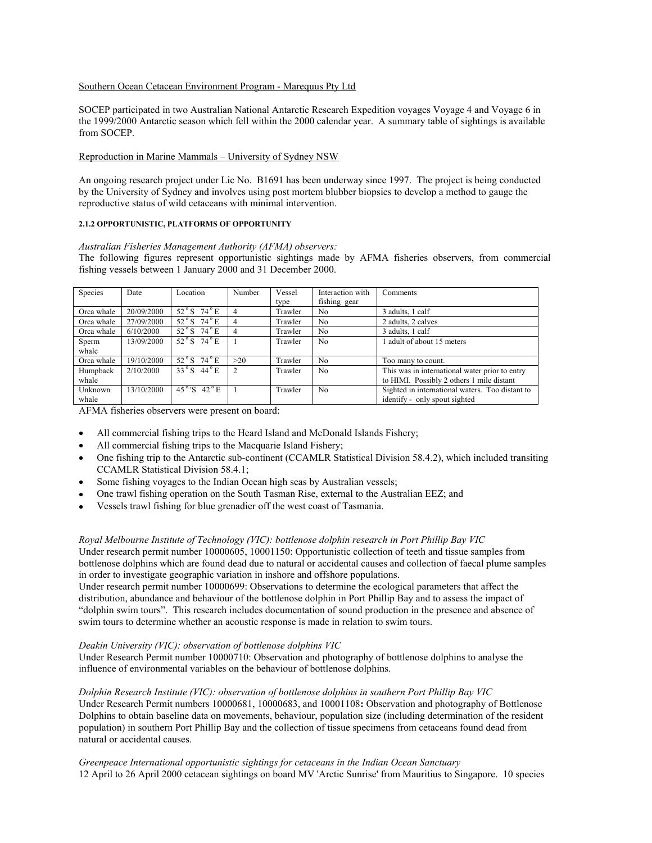### Southern Ocean Cetacean Environment Program - Marequus Pty Ltd

SOCEP participated in two Australian National Antarctic Research Expedition voyages Voyage 4 and Voyage 6 in the 1999/2000 Antarctic season which fell within the 2000 calendar year. A summary table of sightings is available from SOCEP.

### Reproduction in Marine Mammals – University of Sydney NSW

An ongoing research project under Lic No. B1691 has been underway since 1997. The project is being conducted by the University of Sydney and involves using post mortem blubber biopsies to develop a method to gauge the reproductive status of wild cetaceans with minimal intervention.

### **2.1.2 OPPORTUNISTIC, PLATFORMS OF OPPORTUNITY**

*Australian Fisheries Management Authority (AFMA) observers:*  The following figures represent opportunistic sightings made by AFMA fisheries observers, from commercial fishing vessels between 1 January 2000 and 31 December 2000.

| Species    | Date       | Location                              | Number         | Vessel  | Interaction with | Comments                                        |
|------------|------------|---------------------------------------|----------------|---------|------------------|-------------------------------------------------|
|            |            |                                       |                | type    | fishing gear     |                                                 |
| Orca whale | 20/09/2000 | $52^{\circ}$ S $74^{\circ}$ E         |                | Trawler | N <sub>0</sub>   | 3 adults, 1 calf                                |
| Orca whale | 27/09/2000 | $52^{\circ}$ S $74^{\circ}$ E         | 4              | Trawler | N <sub>0</sub>   | 2 adults, 2 calves                              |
| Orca whale | 6/10/2000  | $\overline{52^\circ S}$ 74 $^\circ$ E | 4              | Trawler | N <sub>0</sub>   | 3 adults, 1 calf                                |
| Sperm      | 13/09/2000 | $52^{\circ}$ S $74^{\circ}$ E         |                | Trawler | N <sub>0</sub>   | adult of about 15 meters                        |
| whale      |            |                                       |                |         |                  |                                                 |
| Orca whale | 19/10/2000 | $52^\circ$ S $74^\circ$ E             | >20            | Trawler | N <sub>0</sub>   | Too many to count.                              |
| Humpback   | 2/10/2000  | $33^\circ$ S $44^\circ$ E             | $\mathfrak{D}$ | Trawler | N <sub>0</sub>   | This was in international water prior to entry  |
| whale      |            |                                       |                |         |                  | to HIMI. Possibly 2 others 1 mile distant       |
| Unknown    | 13/10/2000 | 45°'S 42°E                            |                | Trawler | N <sub>0</sub>   | Sighted in international waters. Too distant to |
| whale      |            |                                       |                |         |                  | identify - only spout sighted                   |

AFMA fisheries observers were present on board:

- All commercial fishing trips to the Heard Island and McDonald Islands Fishery;
- All commercial fishing trips to the Macquarie Island Fishery;
- One fishing trip to the Antarctic sub-continent (CCAMLR Statistical Division 58.4.2), which included transiting CCAMLR Statistical Division 58.4.1;
- Some fishing voyages to the Indian Ocean high seas by Australian vessels;
- One trawl fishing operation on the South Tasman Rise, external to the Australian EEZ; and
- Vessels trawl fishing for blue grenadier off the west coast of Tasmania.

### *Royal Melbourne Institute of Technology (VIC): bottlenose dolphin research in Port Phillip Bay VIC*

Under research permit number 10000605, 10001150: Opportunistic collection of teeth and tissue samples from bottlenose dolphins which are found dead due to natural or accidental causes and collection of faecal plume samples in order to investigate geographic variation in inshore and offshore populations.

Under research permit number 10000699: Observations to determine the ecological parameters that affect the distribution, abundance and behaviour of the bottlenose dolphin in Port Phillip Bay and to assess the impact of "dolphin swim tours". This research includes documentation of sound production in the presence and absence of swim tours to determine whether an acoustic response is made in relation to swim tours.

### *Deakin University (VIC): observation of bottlenose dolphins VIC*

Under Research Permit number 10000710: Observation and photography of bottlenose dolphins to analyse the influence of environmental variables on the behaviour of bottlenose dolphins.

### *Dolphin Research Institute (VIC): observation of bottlenose dolphins in southern Port Phillip Bay VIC*

Under Research Permit numbers 10000681, 10000683, and 10001108**:** Observation and photography of Bottlenose Dolphins to obtain baseline data on movements, behaviour, population size (including determination of the resident population) in southern Port Phillip Bay and the collection of tissue specimens from cetaceans found dead from natural or accidental causes.

*Greenpeace International opportunistic sightings for cetaceans in the Indian Ocean Sanctuary*  12 April to 26 April 2000 cetacean sightings on board MV 'Arctic Sunrise' from Mauritius to Singapore. 10 species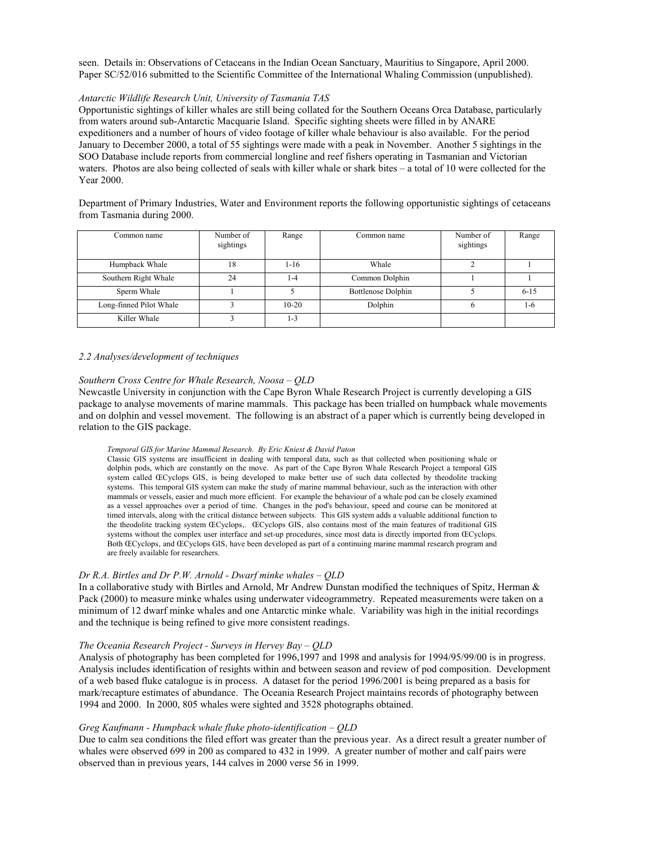seen. Details in: Observations of Cetaceans in the Indian Ocean Sanctuary, Mauritius to Singapore, April 2000. Paper SC/52/016 submitted to the Scientific Committee of the International Whaling Commission (unpublished).

### *Antarctic Wildlife Research Unit, University of Tasmania TAS*

Opportunistic sightings of killer whales are still being collated for the Southern Oceans Orca Database, particularly from waters around sub-Antarctic Macquarie Island. Specific sighting sheets were filled in by ANARE expeditioners and a number of hours of video footage of killer whale behaviour is also available. For the period January to December 2000, a total of 55 sightings were made with a peak in November. Another 5 sightings in the SOO Database include reports from commercial longline and reef fishers operating in Tasmanian and Victorian waters. Photos are also being collected of seals with killer whale or shark bites – a total of 10 were collected for the Year 2000.

Department of Primary Industries, Water and Environment reports the following opportunistic sightings of cetaceans from Tasmania during 2000.

| Common name             | Number of<br>sightings | Range   | Common name               | Number of<br>sightings | Range    |
|-------------------------|------------------------|---------|---------------------------|------------------------|----------|
| Humpback Whale          | 18                     | $1-16$  | Whale                     |                        |          |
| Southern Right Whale    | 24                     | 1-4     | Common Dolphin            |                        |          |
| Sperm Whale             |                        |         | <b>Bottlenose Dolphin</b> |                        | $6 - 15$ |
| Long-finned Pilot Whale |                        | $10-20$ | Dolphin                   |                        | $1 - 6$  |
| Killer Whale            |                        | 1-3     |                           |                        |          |

#### *2.2 Analyses/development of techniques*

### *Southern Cross Centre for Whale Research, Noosa – QLD*

Newcastle University in conjunction with the Cape Byron Whale Research Project is currently developing a GIS package to analyse movements of marine mammals. This package has been trialled on humpback whale movements and on dolphin and vessel movement. The following is an abstract of a paper which is currently being developed in relation to the GIS package.

#### *Temporal GIS for Marine Mammal Research. By Eric Kniest & David Paton*

Classic GIS systems are insufficient in dealing with temporal data, such as that collected when positioning whale or dolphin pods, which are constantly on the move. As part of the Cape Byron Whale Research Project a temporal GIS system called ŒCyclops GIS, is being developed to make better use of such data collected by theodolite tracking systems. This temporal GIS system can make the study of marine mammal behaviour, such as the interaction with other mammals or vessels, easier and much more efficient. For example the behaviour of a whale pod can be closely examined as a vessel approaches over a period of time. Changes in the pod's behaviour, speed and course can be monitored at timed intervals, along with the critical distance between subjects. This GIS system adds a valuable additional function to the theodolite tracking system ŒCyclops,. ŒCyclops GIS, also contains most of the main features of traditional GIS systems without the complex user interface and set-up procedures, since most data is directly imported from ŒCyclops. Both ŒCyclops, and ŒCyclops GIS, have been developed as part of a continuing marine mammal research program and are freely available for researchers.

### *Dr R.A. Birtles and Dr P.W. Arnold - Dwarf minke whales – QLD*

In a collaborative study with Birtles and Arnold, Mr Andrew Dunstan modified the techniques of Spitz, Herman & Pack (2000) to measure minke whales using underwater videogrammetry. Repeated measurements were taken on a minimum of 12 dwarf minke whales and one Antarctic minke whale. Variability was high in the initial recordings and the technique is being refined to give more consistent readings.

#### *The Oceania Research Project - Surveys in Hervey Bay – QLD*

Analysis of photography has been completed for 1996,1997 and 1998 and analysis for 1994/95/99/00 is in progress. Analysis includes identification of resights within and between season and review of pod composition. Development of a web based fluke catalogue is in process. A dataset for the period 1996/2001 is being prepared as a basis for mark/recapture estimates of abundance. The Oceania Research Project maintains records of photography between 1994 and 2000. In 2000, 805 whales were sighted and 3528 photographs obtained.

### *Greg Kaufmann - Humpback whale fluke photo-identification – QLD*

Due to calm sea conditions the filed effort was greater than the previous year. As a direct result a greater number of whales were observed 699 in 200 as compared to 432 in 1999. A greater number of mother and calf pairs were observed than in previous years, 144 calves in 2000 verse 56 in 1999.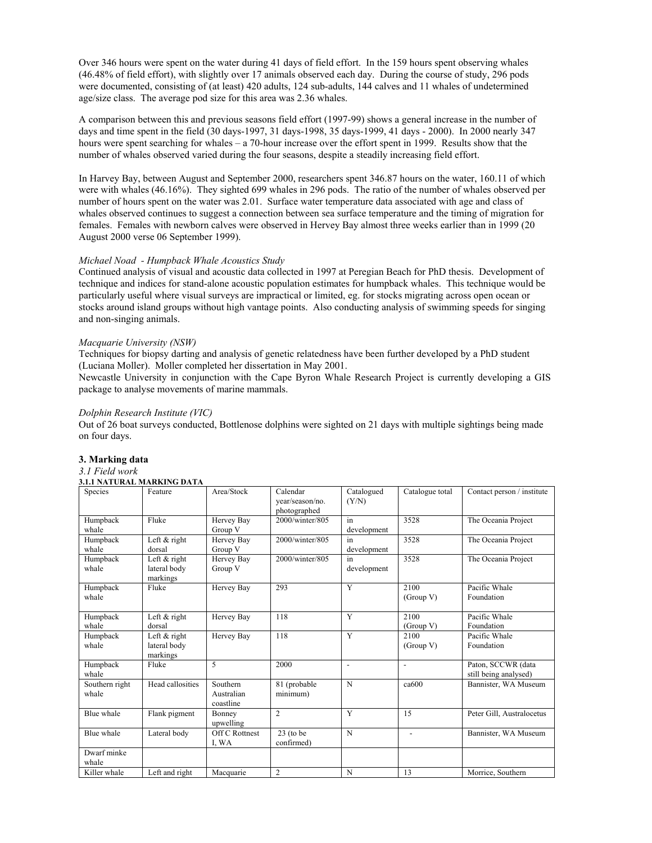Over 346 hours were spent on the water during 41 days of field effort. In the 159 hours spent observing whales (46.48% of field effort), with slightly over 17 animals observed each day. During the course of study, 296 pods were documented, consisting of (at least) 420 adults, 124 sub-adults, 144 calves and 11 whales of undetermined age/size class. The average pod size for this area was 2.36 whales.

A comparison between this and previous seasons field effort (1997-99) shows a general increase in the number of days and time spent in the field (30 days-1997, 31 days-1998, 35 days-1999, 41 days - 2000). In 2000 nearly 347 hours were spent searching for whales – a 70-hour increase over the effort spent in 1999. Results show that the number of whales observed varied during the four seasons, despite a steadily increasing field effort.

In Harvey Bay, between August and September 2000, researchers spent 346.87 hours on the water, 160.11 of which were with whales (46.16%). They sighted 699 whales in 296 pods. The ratio of the number of whales observed per number of hours spent on the water was 2.01. Surface water temperature data associated with age and class of whales observed continues to suggest a connection between sea surface temperature and the timing of migration for females. Females with newborn calves were observed in Hervey Bay almost three weeks earlier than in 1999 (20 August 2000 verse 06 September 1999).

### *Michael Noad - Humpback Whale Acoustics Study*

Continued analysis of visual and acoustic data collected in 1997 at Peregian Beach for PhD thesis. Development of technique and indices for stand-alone acoustic population estimates for humpback whales. This technique would be particularly useful where visual surveys are impractical or limited, eg. for stocks migrating across open ocean or stocks around island groups without high vantage points. Also conducting analysis of swimming speeds for singing and non-singing animals.

### *Macquarie University (NSW)*

Techniques for biopsy darting and analysis of genetic relatedness have been further developed by a PhD student (Luciana Moller). Moller completed her dissertation in May 2001.

Newcastle University in conjunction with the Cape Byron Whale Research Project is currently developing a GIS package to analyse movements of marine mammals.

### *Dolphin Research Institute (VIC)*

Out of 26 boat surveys conducted, Bottlenose dolphins were sighted on 21 days with multiple sightings being made on four days.

### **3. Marking data**

#### *3.1 Field work*  **3.1.1 NATURAL MARKING DATA**

|                         | 3.1.1 IVA I UKAL MAKKING DATA              |                                     |                                             |                     |                          |                                             |
|-------------------------|--------------------------------------------|-------------------------------------|---------------------------------------------|---------------------|--------------------------|---------------------------------------------|
| Species                 | Feature                                    | Area/Stock                          | Calendar<br>year/season/no.<br>photographed | Catalogued<br>(Y/N) | Catalogue total          | Contact person / institute                  |
| Humpback<br>whale       | Fluke                                      | Hervey Bay<br>Group V               | 2000/winter/805                             | in<br>development   | 3528                     | The Oceania Project                         |
| Humpback<br>whale       | Left $&$ right<br>dorsal                   | Hervey Bay<br>Group V               | 2000/winter/805                             | in<br>development   | 3528                     | The Oceania Project                         |
| Humpback<br>whale       | Left $&$ right<br>lateral body<br>markings | Hervey Bay<br>Group V               | 2000/winter/805                             | in.<br>development  | 3528                     | The Oceania Project                         |
| Humpback<br>whale       | Fluke                                      | Hervey Bay                          | 293                                         | Y                   | 2100<br>(Group V)        | Pacific Whale<br>Foundation                 |
| Humpback<br>whale       | Left $&$ right<br>dorsal                   | Hervey Bay                          | 118                                         | Y                   | 2100<br>(Group V)        | Pacific Whale<br>Foundation                 |
| Humpback<br>whale       | Left $&$ right<br>lateral body<br>markings | Hervey Bay                          | 118                                         | $\overline{Y}$      | 2100<br>(Group V)        | Pacific Whale<br>Foundation                 |
| Humpback<br>whale       | Fluke                                      | 5                                   | 2000                                        | $\overline{a}$      | $\overline{\phantom{a}}$ | Paton, SCCWR (data<br>still being analysed) |
| Southern right<br>whale | Head callosities                           | Southern<br>Australian<br>coastline | 81 (probable)<br>minimum)                   | N                   | ca600                    | Bannister, WA Museum                        |
| Blue whale              | Flank pigment                              | Bonney<br>upwelling                 | $\mathfrak{2}$                              | Y                   | 15                       | Peter Gill, Australocetus                   |
| Blue whale              | Lateral body                               | Off C Rottnest<br>I, WA             | $23$ (to be<br>confirmed)                   | N                   | $\overline{a}$           | Bannister, WA Museum                        |
| Dwarf minke<br>whale    |                                            |                                     |                                             |                     |                          |                                             |
| Killer whale            | Left and right                             | Macquarie                           | $\overline{2}$                              | N                   | 13                       | Morrice, Southern                           |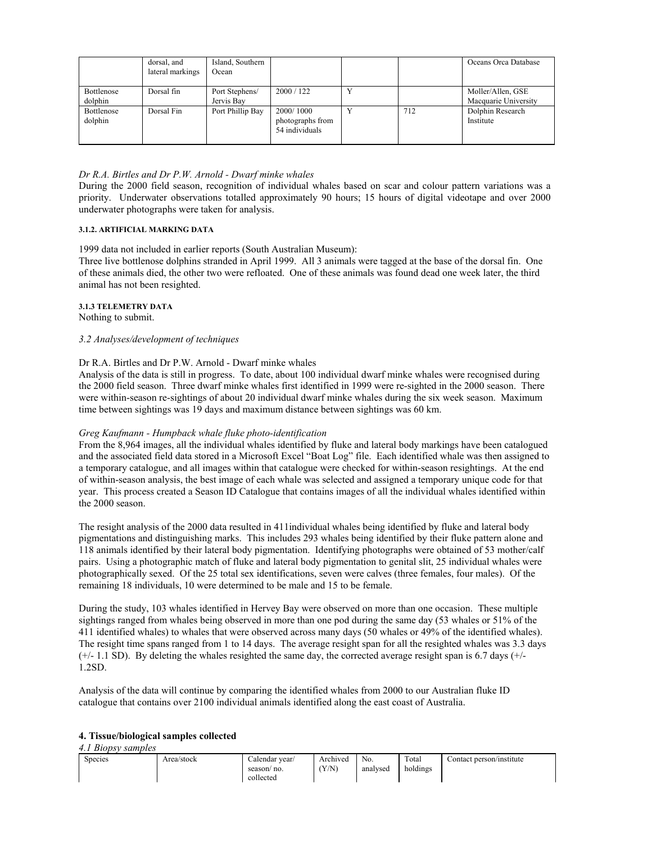|                       | dorsal, and<br>lateral markings | Island, Southern<br>Ocean    |                                                 |              |     | Oceans Orca Database                      |
|-----------------------|---------------------------------|------------------------------|-------------------------------------------------|--------------|-----|-------------------------------------------|
| Bottlenose<br>dolphin | Dorsal fin                      | Port Stephens/<br>Jervis Bay | 2000 / 122                                      | $\mathbf{v}$ |     | Moller/Allen, GSE<br>Macquarie University |
| Bottlenose<br>dolphin | Dorsal Fin                      | Port Phillip Bay             | 2000/1000<br>photographs from<br>54 individuals | $\mathbf{v}$ | 712 | Dolphin Research<br>Institute             |

### *Dr R.A. Birtles and Dr P.W. Arnold - Dwarf minke whales*

During the 2000 field season, recognition of individual whales based on scar and colour pattern variations was a priority. Underwater observations totalled approximately 90 hours; 15 hours of digital videotape and over 2000 underwater photographs were taken for analysis.

### **3.1.2. ARTIFICIAL MARKING DATA**

1999 data not included in earlier reports (South Australian Museum):

Three live bottlenose dolphins stranded in April 1999. All 3 animals were tagged at the base of the dorsal fin. One of these animals died, the other two were refloated. One of these animals was found dead one week later, the third animal has not been resighted.

### **3.1.3 TELEMETRY DATA**

Nothing to submit.

### *3.2 Analyses/development of techniques*

### Dr R.A. Birtles and Dr P.W. Arnold - Dwarf minke whales

Analysis of the data is still in progress. To date, about 100 individual dwarf minke whales were recognised during the 2000 field season. Three dwarf minke whales first identified in 1999 were re-sighted in the 2000 season. There were within-season re-sightings of about 20 individual dwarf minke whales during the six week season. Maximum time between sightings was 19 days and maximum distance between sightings was 60 km.

### *Greg Kaufmann - Humpback whale fluke photo-identification*

From the 8,964 images, all the individual whales identified by fluke and lateral body markings have been catalogued and the associated field data stored in a Microsoft Excel "Boat Log" file. Each identified whale was then assigned to a temporary catalogue, and all images within that catalogue were checked for within-season resightings. At the end of within-season analysis, the best image of each whale was selected and assigned a temporary unique code for that year. This process created a Season ID Catalogue that contains images of all the individual whales identified within the 2000 season.

The resight analysis of the 2000 data resulted in 411individual whales being identified by fluke and lateral body pigmentations and distinguishing marks. This includes 293 whales being identified by their fluke pattern alone and 118 animals identified by their lateral body pigmentation. Identifying photographs were obtained of 53 mother/calf pairs. Using a photographic match of fluke and lateral body pigmentation to genital slit, 25 individual whales were photographically sexed. Of the 25 total sex identifications, seven were calves (three females, four males). Of the remaining 18 individuals, 10 were determined to be male and 15 to be female.

During the study, 103 whales identified in Hervey Bay were observed on more than one occasion. These multiple sightings ranged from whales being observed in more than one pod during the same day (53 whales or 51% of the 411 identified whales) to whales that were observed across many days (50 whales or 49% of the identified whales). The resight time spans ranged from 1 to 14 days. The average resight span for all the resighted whales was 3.3 days  $(+/- 1.1$  SD). By deleting the whales resighted the same day, the corrected average resight span is 6.7 days  $(+/-$ 1.2SD.

Analysis of the data will continue by comparing the identified whales from 2000 to our Australian fluke ID catalogue that contains over 2100 individual animals identified along the east coast of Australia.

### **4. Tissue/biological samples collected**

### *4.1 Biopsy samples*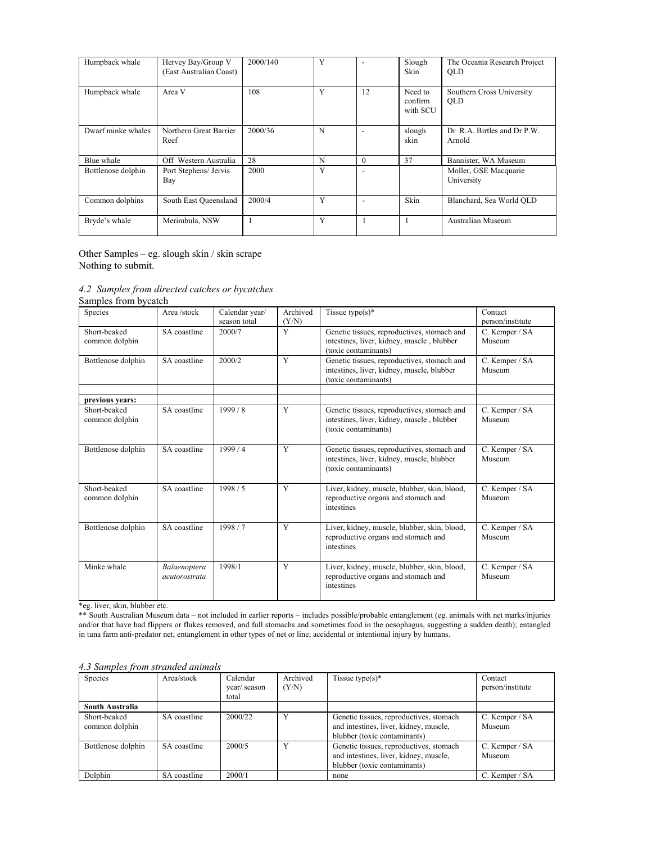| Humpback whale     | Hervey Bay/Group V<br>(East Australian Coast) | 2000/140 | Y |          | Slough<br>Skin                 | The Oceania Research Project<br><b>OLD</b> |
|--------------------|-----------------------------------------------|----------|---|----------|--------------------------------|--------------------------------------------|
| Humpback whale     | Area V                                        | 108      | Y | 12       | Need to<br>confirm<br>with SCU | Southern Cross University<br><b>OLD</b>    |
| Dwarf minke whales | Northern Great Barrier<br>Reef                | 2000/36  | N |          | slough<br>skin                 | Dr. R.A. Birtles and Dr. P.W.<br>Arnold    |
| Blue whale         | Off Western Australia                         | 28       | N | $\theta$ | 37                             | Bannister, WA Museum                       |
| Bottlenose dolphin | Port Stephens/ Jervis<br>Bay                  | 2000     | Y |          |                                | Moller, GSE Macquarie<br>University        |
| Common dolphins    | South East Oueensland                         | 2000/4   | Y |          | Skin                           | Blanchard, Sea World QLD                   |
| Bryde's whale      | Merimbula, NSW                                |          | Y |          |                                | <b>Australian Museum</b>                   |

Other Samples – eg. slough skin / skin scrape Nothing to submit.

*4.2 Samples from directed catches or bycatches* 

| Samples from bycatch |  |  |  |  |
|----------------------|--|--|--|--|
|----------------------|--|--|--|--|

| Species                        | Area /stock                          | Calendar year/<br>season total | Archived<br>(Y/N) | Tissue type $(s)^*$                                                                                               | Contact<br>person/institute |
|--------------------------------|--------------------------------------|--------------------------------|-------------------|-------------------------------------------------------------------------------------------------------------------|-----------------------------|
| Short-beaked<br>common dolphin | SA coastline                         | 2000/7                         | Y                 | Genetic tissues, reproductives, stomach and<br>intestines, liver, kidney, muscle, blubber<br>(toxic contaminants) | C. Kemper / SA<br>Museum    |
| Bottlenose dolphin             | SA coastline                         | 2000/2                         | Y                 | Genetic tissues, reproductives, stomach and<br>intestines, liver, kidney, muscle, blubber<br>(toxic contaminants) | C. Kemper / SA<br>Museum    |
| previous years:                |                                      |                                |                   |                                                                                                                   |                             |
| Short-beaked<br>common dolphin | SA coastline                         | 1999/8                         | Y                 | Genetic tissues, reproductives, stomach and<br>intestines, liver, kidney, muscle, blubber<br>(toxic contaminants) | C. Kemper / SA<br>Museum    |
| Bottlenose dolphin             | SA coastline                         | 1999/4                         | Y                 | Genetic tissues, reproductives, stomach and<br>intestines, liver, kidney, muscle, blubber<br>(toxic contaminants) | C. Kemper / SA<br>Museum    |
| Short-beaked<br>common dolphin | SA coastline                         | 1998/5                         | Y                 | Liver, kidney, muscle, blubber, skin, blood,<br>reproductive organs and stomach and<br>intestines                 | C. Kemper / SA<br>Museum    |
| Bottlenose dolphin             | SA coastline                         | 1998/7                         | Y                 | Liver, kidney, muscle, blubber, skin, blood,<br>reproductive organs and stomach and<br>intestines                 | C. Kemper / SA<br>Museum    |
| Minke whale                    | Balaenoptera<br><i>acutorostrata</i> | 1998/1                         | Y                 | Liver, kidney, muscle, blubber, skin, blood,<br>reproductive organs and stomach and<br>intestines                 | C. Kemper / SA<br>Museum    |

\*eg. liver, skin, blubber etc.

\*\* South Australian Museum data – not included in earlier reports – includes possible/probable entanglement (eg. animals with net marks/injuries and/or that have had flippers or flukes removed, and full stomachs and sometimes food in the oesophagus, suggesting a sudden death); entangled in tuna farm anti-predator net; entanglement in other types of net or line; accidental or intentional injury by humans.

| Species                        | Area/stock   | Calendar<br>year/season<br>total | Archived<br>(Y/N) | Tissue type( $s$ )*                                                                                               | Contact<br>person/institute |
|--------------------------------|--------------|----------------------------------|-------------------|-------------------------------------------------------------------------------------------------------------------|-----------------------------|
| South Australia                |              |                                  |                   |                                                                                                                   |                             |
| Short-beaked<br>common dolphin | SA coastline | 2000/22                          | v                 | Genetic tissues, reproductives, stomach<br>and intestines, liver, kidney, muscle,<br>blubber (toxic contaminants) | C. Kemper / SA<br>Museum    |
| Bottlenose dolphin             | SA coastline | 2000/5                           | $\bf{V}$          | Genetic tissues, reproductives, stomach<br>and intestines, liver, kidney, muscle,<br>blubber (toxic contaminants) | C. Kemper / SA<br>Museum    |
| Dolphin                        | SA coastline | 2000/1                           |                   | none                                                                                                              | C. Kemper / SA              |

### *4.3 Samples from stranded animals*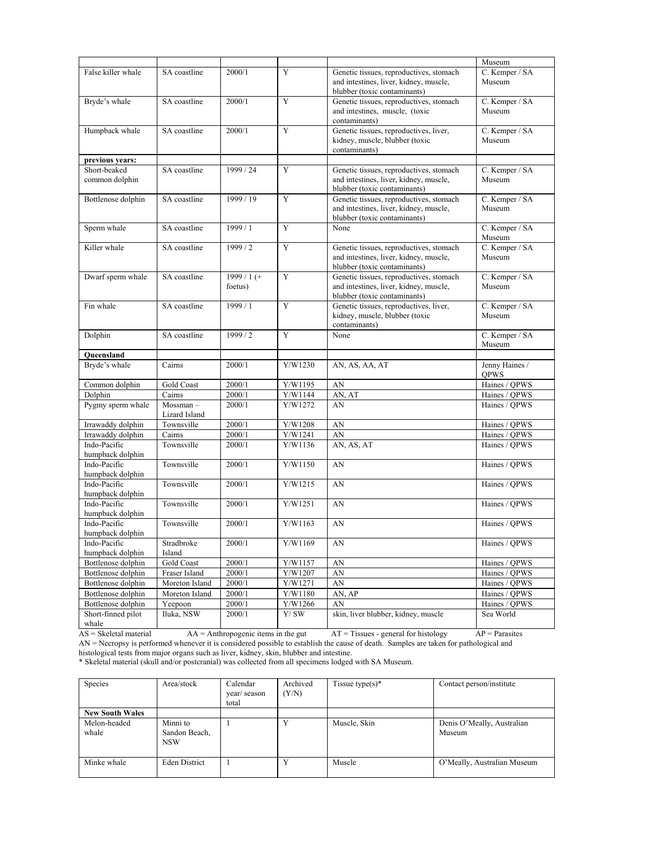|                                  |                           |                        |                            |                                                                                                                   | Museum                        |
|----------------------------------|---------------------------|------------------------|----------------------------|-------------------------------------------------------------------------------------------------------------------|-------------------------------|
| False killer whale               | SA coastline              | 2000/1                 | Y                          | Genetic tissues, reproductives, stomach<br>and intestines, liver, kidney, muscle,                                 | C. Kemper / SA<br>Museum      |
|                                  |                           |                        |                            | blubber (toxic contaminants)                                                                                      |                               |
| Bryde's whale                    | SA coastline              | 2000/1                 | Y                          | Genetic tissues, reproductives, stomach<br>and intestines, muscle, (toxic<br>contaminants)                        | C. Kemper / SA<br>Museum      |
| Humpback whale                   | SA coastline              | 2000/1                 | Y                          | Genetic tissues, reproductives, liver,<br>kidney, muscle, blubber (toxic<br>contaminants)                         | C. Kemper / SA<br>Museum      |
| previous years:                  |                           |                        |                            |                                                                                                                   |                               |
| Short-beaked<br>common dolphin   | SA coastline              | 1999 / 24              | Y                          | Genetic tissues, reproductives, stomach<br>and intestines, liver, kidney, muscle,<br>blubber (toxic contaminants) | C. Kemper / SA<br>Museum      |
| Bottlenose dolphin               | SA coastline              | 1999/19                | Y                          | Genetic tissues, reproductives, stomach<br>and intestines, liver, kidney, muscle,<br>blubber (toxic contaminants) | C. Kemper / SA<br>Museum      |
| Sperm whale                      | SA coastline              | 1999/1                 | Y                          | None                                                                                                              | C. Kemper / SA<br>Museum      |
| Killer whale                     | SA coastline              | 1999 / 2               | Y                          | Genetic tissues, reproductives, stomach<br>and intestines, liver, kidney, muscle,<br>blubber (toxic contaminants) | C. Kemper / SA<br>Museum      |
| Dwarf sperm whale                | SA coastline              | $1999/1$ (+<br>foetus) | Y                          | Genetic tissues, reproductives, stomach<br>and intestines, liver, kidney, muscle,<br>blubber (toxic contaminants) | C. Kemper / SA<br>Museum      |
| Fin whale                        | SA coastline              | 1999 / 1               | Y                          | Genetic tissues, reproductives, liver,<br>kidney, muscle, blubber (toxic<br>contaminants)                         | C. Kemper / SA<br>Museum      |
| Dolphin                          | SA coastline              | 1999/2                 | Y                          | None                                                                                                              | C. Kemper / SA<br>Museum      |
| Oueensland                       |                           |                        |                            |                                                                                                                   |                               |
| Bryde's whale                    | Cairns                    | 2000/1                 | Y/W1230                    | AN, AS, AA, AT                                                                                                    | Jenny Haines /<br><b>QPWS</b> |
| Common dolphin                   | Gold Coast                | 2000/1                 | Y/W1195                    | AN                                                                                                                | Haines / QPWS                 |
| Dolphin                          | Cairns                    | 2000/1                 | Y/W1144                    | AN, AT                                                                                                            | Haines / QPWS                 |
| Pygmy sperm whale                | Mossman-<br>Lizard Island | 2000/1                 | Y/W1272                    | AN                                                                                                                | Haines / QPWS                 |
| Irrawaddy dolphin                | Townsville                | 2000/1                 | Y/W1208                    | AN                                                                                                                | Haines / QPWS                 |
| Irrawaddy dolphin                | Cairns                    | 2000/1                 | Y/W1241                    | AN                                                                                                                | Haines / QPWS                 |
| Indo-Pacific<br>humpback dolphin | Townsville                | 2000/1                 | Y/W1136                    | AN, AS, AT                                                                                                        | Haines / QPWS                 |
| Indo-Pacific<br>humpback dolphin | Townsville                | 2000/1                 | Y/W1150                    | AN                                                                                                                | Haines / QPWS                 |
| Indo-Pacific<br>humpback dolphin | Townsville                | 2000/1                 | Y/W1215                    | AN                                                                                                                | Haines / QPWS                 |
| Indo-Pacific<br>humpback dolphin | Townsville                | 2000/1                 | Y/W1251                    | AN                                                                                                                | Haines / OPWS                 |
| Indo-Pacific<br>humpback dolphin | Townsville                | 2000/1                 | Y/W1163                    | AN                                                                                                                | Haines / QPWS                 |
| Indo-Pacific<br>humpback dolphin | Stradbroke<br>Island      | 2000/1                 | Y/W1169                    | AN                                                                                                                | Haines / QPWS                 |
| Bottlenose dolphin               | Gold Coast                | 2000/1                 | Y/W1157                    | AN                                                                                                                | Haines / QPWS                 |
| Bottlenose dolphin               | Fraser Island             | 2000/1                 | Y/W1207                    | AN                                                                                                                | Haines / OPWS                 |
| Bottlenose dolphin               | Moreton Island            | 2000/1                 | Y/W1271                    | AN                                                                                                                | Haines / OPWS                 |
| Bottlenose dolphin               | Moreton Island            | 2000/1                 | Y/W1180                    | AN, AP                                                                                                            | Haines / QPWS                 |
| Bottlenose dolphin               | Yeepoon                   | 2000/1                 | Y/W1266                    | AN                                                                                                                | Haines / QPWS                 |
| Short-finned pilot<br>whale      | Iluka, NSW                | 2000/1                 | $\mathbf{Y}/\,\mathbf{SW}$ | skin, liver blubber, kidney, muscle                                                                               | Sea World                     |

 $AS = S$ keletal material  $AA = Anthropogenic$  items in the gut  $AT = T$  issues - general for histology  $AP = \text{Parasites}$ AN = Necropsy is performed whenever it is considered possible to establish the cause of death. Samples are taken for pathological and histological tests from major organs such as liver, kidney, skin, blubber and intestine.

\* Skeletal material (skull and/or postcranial) was collected from all specimens lodged with SA Museum.

| Species                | Area/stock                              | Calendar<br>year/season<br>total | Archived<br>(Y/N) | Tissue type $(s)^*$ | Contact person/institute             |
|------------------------|-----------------------------------------|----------------------------------|-------------------|---------------------|--------------------------------------|
| <b>New South Wales</b> |                                         |                                  |                   |                     |                                      |
| Melon-headed<br>whale  | Minni to<br>Sandon Beach,<br><b>NSW</b> |                                  | $\mathbf{v}$      | Muscle, Skin        | Denis O'Meally, Australian<br>Museum |
| Minke whale            | <b>Eden District</b>                    |                                  | $\mathbf{v}$      | Muscle              | O'Meally, Australian Museum          |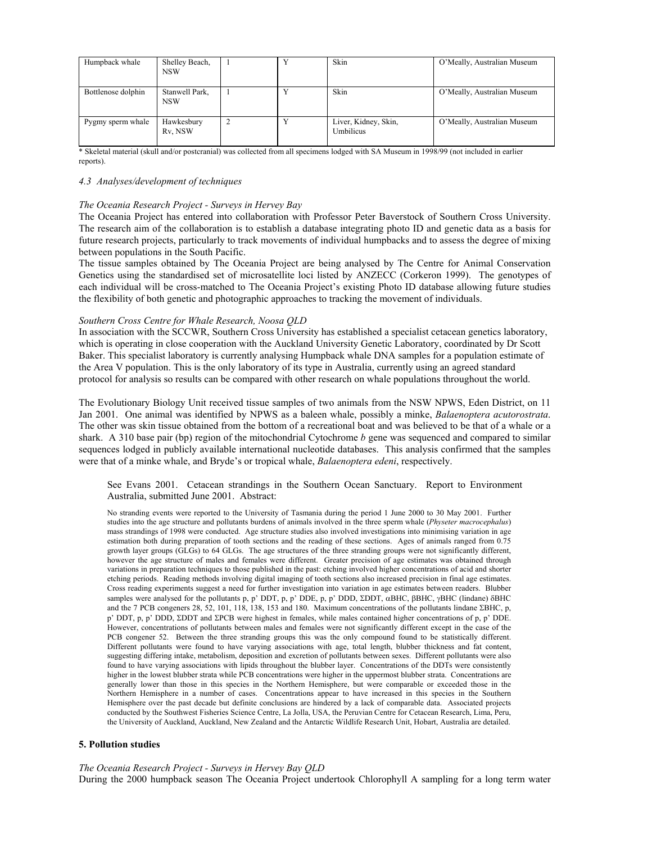| Humpback whale     | Shelley Beach,<br><b>NSW</b> |              | Skin                              | O'Meally, Australian Museum |
|--------------------|------------------------------|--------------|-----------------------------------|-----------------------------|
| Bottlenose dolphin | Stanwell Park.<br><b>NSW</b> | $\mathbf{v}$ | Skin                              | O'Meally, Australian Museum |
| Pygmy sperm whale  | Hawkesbury<br>Rv. NSW        | $\mathbf{v}$ | Liver, Kidney, Skin,<br>Umbilicus | O'Meally, Australian Museum |

\* Skeletal material (skull and/or postcranial) was collected from all specimens lodged with SA Museum in 1998/99 (not included in earlier reports).

### *4.3 Analyses/development of techniques*

### *The Oceania Research Project - Surveys in Hervey Bay*

The Oceania Project has entered into collaboration with Professor Peter Baverstock of Southern Cross University. The research aim of the collaboration is to establish a database integrating photo ID and genetic data as a basis for future research projects, particularly to track movements of individual humpbacks and to assess the degree of mixing between populations in the South Pacific.

The tissue samples obtained by The Oceania Project are being analysed by The Centre for Animal Conservation Genetics using the standardised set of microsatellite loci listed by ANZECC (Corkeron 1999). The genotypes of each individual will be cross-matched to The Oceania Project's existing Photo ID database allowing future studies the flexibility of both genetic and photographic approaches to tracking the movement of individuals.

### *Southern Cross Centre for Whale Research, Noosa QLD*

In association with the SCCWR, Southern Cross University has established a specialist cetacean genetics laboratory, which is operating in close cooperation with the Auckland University Genetic Laboratory, coordinated by Dr Scott Baker. This specialist laboratory is currently analysing Humpback whale DNA samples for a population estimate of the Area V population. This is the only laboratory of its type in Australia, currently using an agreed standard protocol for analysis so results can be compared with other research on whale populations throughout the world.

The Evolutionary Biology Unit received tissue samples of two animals from the NSW NPWS, Eden District, on 11 Jan 2001. One animal was identified by NPWS as a baleen whale, possibly a minke, *Balaenoptera acutorostrata*. The other was skin tissue obtained from the bottom of a recreational boat and was believed to be that of a whale or a shark. A 310 base pair (bp) region of the mitochondrial Cytochrome *b* gene was sequenced and compared to similar sequences lodged in publicly available international nucleotide databases. This analysis confirmed that the samples were that of a minke whale, and Bryde's or tropical whale, *Balaenoptera edeni*, respectively.

See Evans 2001. Cetacean strandings in the Southern Ocean Sanctuary. Report to Environment Australia, submitted June 2001. Abstract:

No stranding events were reported to the University of Tasmania during the period 1 June 2000 to 30 May 2001. Further studies into the age structure and pollutants burdens of animals involved in the three sperm whale (*Physeter macrocephalus*) mass strandings of 1998 were conducted. Age structure studies also involved investigations into minimising variation in age estimation both during preparation of tooth sections and the reading of these sections. Ages of animals ranged from 0.75 growth layer groups (GLGs) to 64 GLGs. The age structures of the three stranding groups were not significantly different, however the age structure of males and females were different. Greater precision of age estimates was obtained through variations in preparation techniques to those published in the past: etching involved higher concentrations of acid and shorter etching periods. Reading methods involving digital imaging of tooth sections also increased precision in final age estimates. Cross reading experiments suggest a need for further investigation into variation in age estimates between readers. Blubber samples were analysed for the pollutants p, p' DDT, p, p' DDE, p, p' DDD, ΣDDT, αBHC, βBHC, γBHC (lindane) δBHC and the 7 PCB congeners 28, 52, 101, 118, 138, 153 and 180. Maximum concentrations of the pollutants lindane ΣBHC, p, p' DDT, p, p' DDD, ΣDDT and ΣPCB were highest in females, while males contained higher concentrations of p, p' DDE. However, concentrations of pollutants between males and females were not significantly different except in the case of the PCB congener 52. Between the three stranding groups this was the only compound found to be statistically different. Different pollutants were found to have varying associations with age, total length, blubber thickness and fat content, suggesting differing intake, metabolism, deposition and excretion of pollutants between sexes. Different pollutants were also found to have varying associations with lipids throughout the blubber layer. Concentrations of the DDTs were consistently higher in the lowest blubber strata while PCB concentrations were higher in the uppermost blubber strata. Concentrations are generally lower than those in this species in the Northern Hemisphere, but were comparable or exceeded those in the Northern Hemisphere in a number of cases. Concentrations appear to have increased in this species in the Southern Hemisphere over the past decade but definite conclusions are hindered by a lack of comparable data. Associated projects conducted by the Southwest Fisheries Science Centre, La Jolla, USA, the Peruvian Centre for Cetacean Research, Lima, Peru, the University of Auckland, Auckland, New Zealand and the Antarctic Wildlife Research Unit, Hobart, Australia are detailed.

### **5. Pollution studies**

*The Oceania Research Project - Surveys in Hervey Bay QLD*  During the 2000 humpback season The Oceania Project undertook Chlorophyll A sampling for a long term water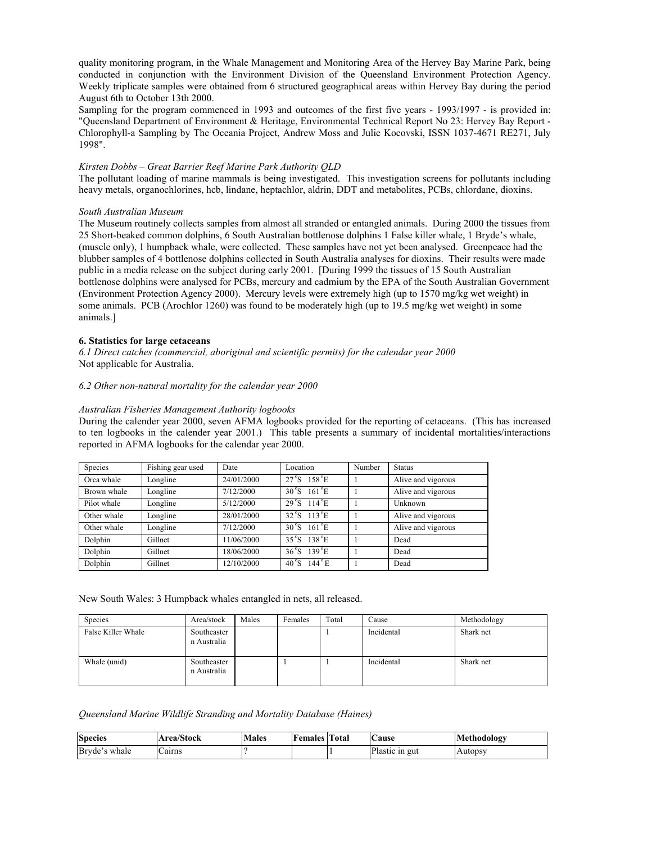quality monitoring program, in the Whale Management and Monitoring Area of the Hervey Bay Marine Park, being conducted in conjunction with the Environment Division of the Queensland Environment Protection Agency. Weekly triplicate samples were obtained from 6 structured geographical areas within Hervey Bay during the period August 6th to October 13th 2000.

Sampling for the program commenced in 1993 and outcomes of the first five years - 1993/1997 - is provided in: "Queensland Department of Environment & Heritage, Environmental Technical Report No 23: Hervey Bay Report - Chlorophyll-a Sampling by The Oceania Project, Andrew Moss and Julie Kocovski, ISSN 1037-4671 RE271, July 1998".

### *Kirsten Dobbs – Great Barrier Reef Marine Park Authority QLD*

The pollutant loading of marine mammals is being investigated. This investigation screens for pollutants including heavy metals, organochlorines, hcb, lindane, heptachlor, aldrin, DDT and metabolites, PCBs, chlordane, dioxins.

### *South Australian Museum*

The Museum routinely collects samples from almost all stranded or entangled animals. During 2000 the tissues from 25 Short-beaked common dolphins, 6 South Australian bottlenose dolphins 1 False killer whale, 1 Bryde's whale, (muscle only), 1 humpback whale, were collected. These samples have not yet been analysed. Greenpeace had the blubber samples of 4 bottlenose dolphins collected in South Australia analyses for dioxins. Their results were made public in a media release on the subject during early 2001. [During 1999 the tissues of 15 South Australian bottlenose dolphins were analysed for PCBs, mercury and cadmium by the EPA of the South Australian Government (Environment Protection Agency 2000). Mercury levels were extremely high (up to 1570 mg/kg wet weight) in some animals. PCB (Arochlor 1260) was found to be moderately high (up to 19.5 mg/kg wet weight) in some animals.]

### **6. Statistics for large cetaceans**

*6.1 Direct catches (commercial, aboriginal and scientific permits) for the calendar year 2000*  Not applicable for Australia.

### *6.2 Other non-natural mortality for the calendar year 2000*

### *Australian Fisheries Management Authority logbooks*

During the calender year 2000, seven AFMA logbooks provided for the reporting of cetaceans. (This has increased to ten logbooks in the calender year 2001.) This table presents a summary of incidental mortalities/interactions reported in AFMA logbooks for the calendar year 2000.

| <b>Species</b> | Fishing gear used | Date       | Location                        | Number | <b>Status</b>      |
|----------------|-------------------|------------|---------------------------------|--------|--------------------|
| Orca whale     | Longline          | 24/01/2000 | $27^{\circ}S$ 158 $^{\circ}E$   |        | Alive and vigorous |
| Brown whale    | Longline          | 7/12/2000  | $30^{\circ}$ S 161 $^{\circ}$ E |        | Alive and vigorous |
| Pilot whale    | Longline          | 5/12/2000  | $29^{\circ}S$ 114 $^{\circ}E$   |        | Unknown            |
| Other whale    | Longline          | 28/01/2000 | $32^{\circ}$ S 113 $^{\circ}$ E |        | Alive and vigorous |
| Other whale    | Longline          | 7/12/2000  | $30^{\circ}$ S 161 $^{\circ}$ E |        | Alive and vigorous |
| Dolphin        | Gillnet           | 11/06/2000 | $35^{\circ}$ S 138 $^{\circ}$ E |        | Dead               |
| Dolphin        | Gillnet           | 18/06/2000 | $36^{\circ}S$ 139 $^{\circ}E$   |        | Dead               |
| Dolphin        | Gillnet           | 12/10/2000 | $40^{\circ}$ S 144 $^{\circ}$ E |        | Dead               |

New South Wales: 3 Humpback whales entangled in nets, all released.

| Species            | Area/stock                 | Males | Females | Total | $\angle$ ause | Methodology |
|--------------------|----------------------------|-------|---------|-------|---------------|-------------|
| False Killer Whale | Southeaster<br>n Australia |       |         |       | Incidental    | Shark net   |
| Whale (unid)       | Southeaster<br>n Australia |       |         |       | Incidental    | Shark net   |

*Queensland Marine Wildlife Stranding and Mortality Database (Haines)* 

| <b>Species</b> | Area/Stock | <b>Males</b> | <b>Females</b> Total | <b>Cause</b>   | Methodology    |
|----------------|------------|--------------|----------------------|----------------|----------------|
| Bryde's whale  | airns -    |              |                      | Plastic in gut | <b>Autopsy</b> |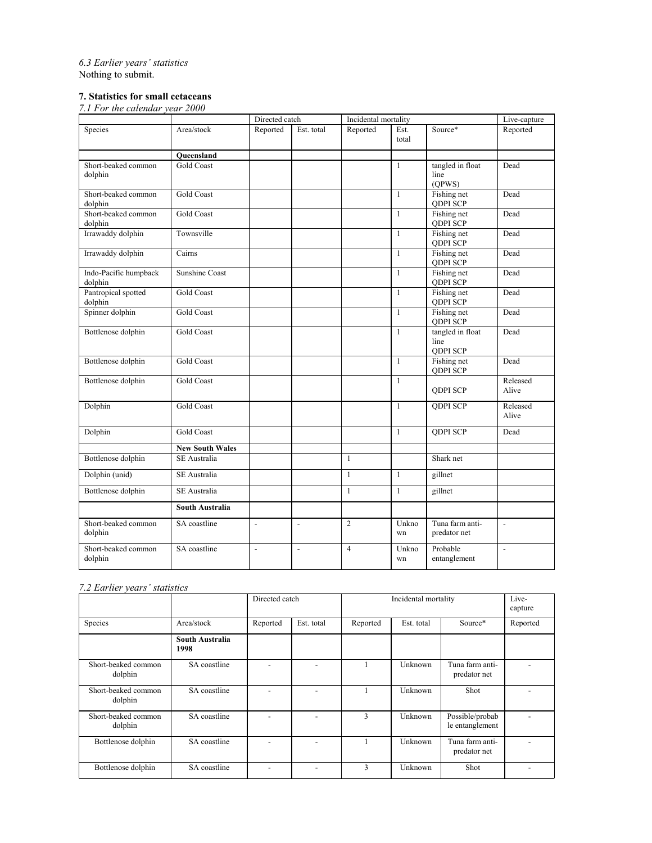*6.3 Earlier years' statistics*  Nothing to submit.

# **7. Statistics for small cetaceans**

*7.1 For the calendar year 2000* 

|                                  |                        | Directed catch           |                          | Incidental mortality |               |                                             | Live-capture             |
|----------------------------------|------------------------|--------------------------|--------------------------|----------------------|---------------|---------------------------------------------|--------------------------|
| Species                          | Area/stock             | Reported                 | Est. total               | Reported             | Est.<br>total | Source*                                     | Reported                 |
|                                  | Oueensland             |                          |                          |                      |               |                                             |                          |
| Short-beaked common<br>dolphin   | <b>Gold Coast</b>      |                          |                          |                      | $\mathbf{1}$  | tangled in float<br>line<br>(QPWS)          | Dead                     |
| Short-beaked common<br>dolphin   | <b>Gold Coast</b>      |                          |                          |                      | $\mathbf{1}$  | Fishing net<br><b>QDPI SCP</b>              | Dead                     |
| Short-beaked common<br>dolphin   | <b>Gold Coast</b>      |                          |                          |                      | $\mathbf{1}$  | Fishing net<br><b>QDPI SCP</b>              | Dead                     |
| Irrawaddy dolphin                | Townsville             |                          |                          |                      | $\mathbf{1}$  | Fishing net<br><b>QDPI SCP</b>              | Dead                     |
| Irrawaddy dolphin                | Cairns                 |                          |                          |                      | $\mathbf{1}$  | Fishing net<br><b>QDPI SCP</b>              | Dead                     |
| Indo-Pacific humpback<br>dolphin | <b>Sunshine Coast</b>  |                          |                          |                      | $\mathbf{1}$  | Fishing net<br><b>QDPI SCP</b>              | Dead                     |
| Pantropical spotted<br>dolphin   | <b>Gold Coast</b>      |                          |                          |                      | $\mathbf{1}$  | Fishing net<br><b>QDPI SCP</b>              | Dead                     |
| Spinner dolphin                  | <b>Gold Coast</b>      |                          |                          |                      | $\mathbf{1}$  | Fishing net<br><b>QDPI SCP</b>              | Dead                     |
| Bottlenose dolphin               | <b>Gold Coast</b>      |                          |                          |                      | $\mathbf{1}$  | tangled in float<br>line<br><b>QDPI SCP</b> | Dead                     |
| Bottlenose dolphin               | <b>Gold Coast</b>      |                          |                          |                      | $\mathbf{1}$  | Fishing net<br><b>QDPI SCP</b>              | Dead                     |
| Bottlenose dolphin               | Gold Coast             |                          |                          |                      | $\mathbf{1}$  | <b>ODPI SCP</b>                             | Released<br>Alive        |
| Dolphin                          | <b>Gold Coast</b>      |                          |                          |                      | $\mathbf{1}$  | <b>ODPI SCP</b>                             | Released<br>Alive        |
| Dolphin                          | <b>Gold Coast</b>      |                          |                          |                      | $\mathbf{1}$  | <b>ODPI SCP</b>                             | Dead                     |
|                                  | <b>New South Wales</b> |                          |                          |                      |               |                                             |                          |
| Bottlenose dolphin               | <b>SE</b> Australia    |                          |                          | $\mathbf{1}$         |               | Shark net                                   |                          |
| Dolphin (unid)                   | SE Australia           |                          |                          | $\mathbf{1}$         | $\mathbf{1}$  | gillnet                                     |                          |
| Bottlenose dolphin               | SE Australia           |                          |                          | $\mathbf{1}$         | $\mathbf{1}$  | gillnet                                     |                          |
|                                  | South Australia        |                          |                          |                      |               |                                             |                          |
| Short-beaked common<br>dolphin   | SA coastline           | $\overline{\phantom{a}}$ | $\overline{\phantom{a}}$ | $\overline{2}$       | Unkno<br>wn   | Tuna farm anti-<br>predator net             | $\overline{\phantom{a}}$ |
| Short-beaked common<br>dolphin   | SA coastline           | $\overline{\phantom{a}}$ | $\overline{\phantom{a}}$ | $\overline{4}$       | Unkno<br>wn   | Probable<br>entanglement                    | $\overline{\phantom{0}}$ |

# *7.2 Earlier years' statistics*

|                                |                         | Directed catch |            | Incidental mortality |            |                                    | Live-<br>capture |
|--------------------------------|-------------------------|----------------|------------|----------------------|------------|------------------------------------|------------------|
| Species                        | Area/stock              | Reported       | Est. total | Reported             | Est. total | Source*                            | Reported         |
|                                | South Australia<br>1998 |                |            |                      |            |                                    |                  |
| Short-beaked common<br>dolphin | SA coastline            |                |            |                      | Unknown    | Tuna farm anti-<br>predator net    |                  |
| Short-beaked common<br>dolphin | SA coastline            |                |            |                      | Unknown    | Shot                               |                  |
| Short-beaked common<br>dolphin | SA coastline            |                |            | 3                    | Unknown    | Possible/probab<br>le entanglement |                  |
| Bottlenose dolphin             | SA coastline            |                |            |                      | Unknown    | Tuna farm anti-<br>predator net    |                  |
| Bottlenose dolphin             | SA coastline            |                |            | 3                    | Unknown    | Shot                               |                  |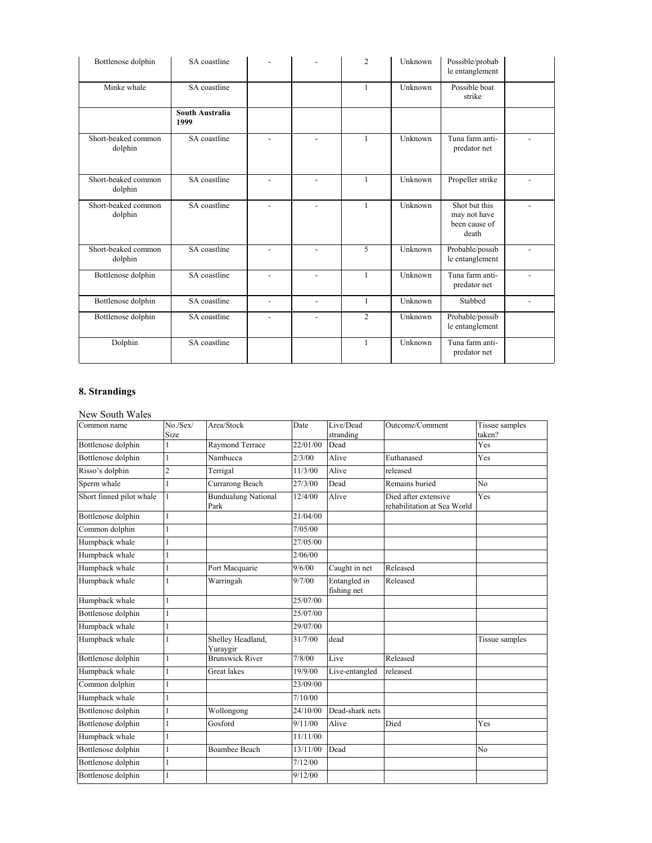| Bottlenose dolphin             | SA coastline            |                          |                | $\overline{c}$ | Unknown | Possible/probab<br>le entanglement                      |                          |
|--------------------------------|-------------------------|--------------------------|----------------|----------------|---------|---------------------------------------------------------|--------------------------|
| Minke whale                    | SA coastline            |                          |                | 1              | Unknown | Possible boat<br>strike                                 |                          |
|                                | South Australia<br>1999 |                          |                |                |         |                                                         |                          |
| Short-beaked common<br>dolphin | SA coastline            |                          |                | $\mathbf{1}$   | Unknown | Tuna farm anti-<br>predator net                         |                          |
| Short-beaked common<br>dolphin | SA coastline            |                          |                | $\mathbf{1}$   | Unknown | Propeller strike                                        |                          |
| Short-beaked common<br>dolphin | SA coastline            | $\overline{a}$           | $\overline{a}$ | $\mathbf{1}$   | Unknown | Shot but this<br>may not have<br>been cause of<br>death |                          |
| Short-beaked common<br>dolphin | SA coastline            |                          |                | 5              | Unknown | Probable/possib<br>le entanglement                      |                          |
| Bottlenose dolphin             | SA coastline            |                          | $\overline{a}$ | $\mathbf{1}$   | Unknown | Tuna farm anti-<br>predator net                         |                          |
| Bottlenose dolphin             | SA coastline            | $\overline{\phantom{0}}$ | $\overline{a}$ | $\mathbf{1}$   | Unknown | Stabbed                                                 | $\overline{\phantom{0}}$ |
| Bottlenose dolphin             | SA coastline            |                          | $\overline{a}$ | $\overline{c}$ | Unknown | Probable/possib<br>le entanglement                      |                          |
| Dolphin                        | SA coastline            |                          |                | $\mathbf{1}$   | Unknown | Tuna farm anti-<br>predator net                         |                          |

# **8. Strandings**

# New South Wales

| Common name              | No./Sex/<br>Size | Area/Stock                         | Date     | Live/Dead<br>stranding      | Outcome/Comment                                     | Tissue samples<br>taken? |
|--------------------------|------------------|------------------------------------|----------|-----------------------------|-----------------------------------------------------|--------------------------|
| Bottlenose dolphin       |                  | Raymond Terrace                    | 22/01/00 | Dead                        |                                                     | Yes                      |
| Bottlenose dolphin       | 1                | Nambucca                           | 2/3/00   | Alive                       | Euthanased                                          | Yes                      |
| Risso's dolphin          | $\overline{c}$   | Terrigal                           | 11/3/00  | Alive                       | released                                            |                          |
| Sperm whale              | 1                | Currarong Beach                    | 27/3/00  | Dead                        | Remains buried                                      | N <sub>o</sub>           |
| Short finned pilot whale |                  | <b>Bundualung National</b><br>Park | 12/4/00  | Alive                       | Died after extensive<br>rehabilitation at Sea World | Yes                      |
| Bottlenose dolphin       | 1                |                                    | 21/04/00 |                             |                                                     |                          |
| Common dolphin           |                  |                                    | 7/05/00  |                             |                                                     |                          |
| Humpback whale           |                  |                                    | 27/05/00 |                             |                                                     |                          |
| Humpback whale           |                  |                                    | 2/06/00  |                             |                                                     |                          |
| Humpback whale           |                  | Port Macquarie                     | 9/6/00   | Caught in net               | Released                                            |                          |
| Humpback whale           |                  | Warringah                          | 9/7/00   | Entangled in<br>fishing net | Released                                            |                          |
| Humpback whale           | 1                |                                    | 25/07/00 |                             |                                                     |                          |
| Bottlenose dolphin       | 1                |                                    | 25/07/00 |                             |                                                     |                          |
| Humpback whale           |                  |                                    | 29/07/00 |                             |                                                     |                          |
| Humpback whale           |                  | Shelley Headland,<br>Yuraygir      | 31/7/00  | dead                        |                                                     | Tissue samples           |
| Bottlenose dolphin       |                  | <b>Brunswick River</b>             | 7/8/00   | Live                        | Released                                            |                          |
| Humpback whale           |                  | Great lakes                        | 19/9/00  | Live-entangled              | released                                            |                          |
| Common dolphin           |                  |                                    | 23/09/00 |                             |                                                     |                          |
| Humpback whale           |                  |                                    | 7/10/00  |                             |                                                     |                          |
| Bottlenose dolphin       |                  | Wollongong                         | 24/10/00 | Dead-shark nets             |                                                     |                          |
| Bottlenose dolphin       |                  | Gosford                            | 9/11/00  | Alive                       | Died                                                | Yes                      |
| Humpback whale           |                  |                                    | 11/11/00 |                             |                                                     |                          |
| Bottlenose dolphin       | $\mathbf{1}$     | <b>Boambee Beach</b>               | 13/11/00 | Dead                        |                                                     | N <sub>o</sub>           |
| Bottlenose dolphin       | $\mathbf{1}$     |                                    | 7/12/00  |                             |                                                     |                          |
| Bottlenose dolphin       |                  |                                    | 9/12/00  |                             |                                                     |                          |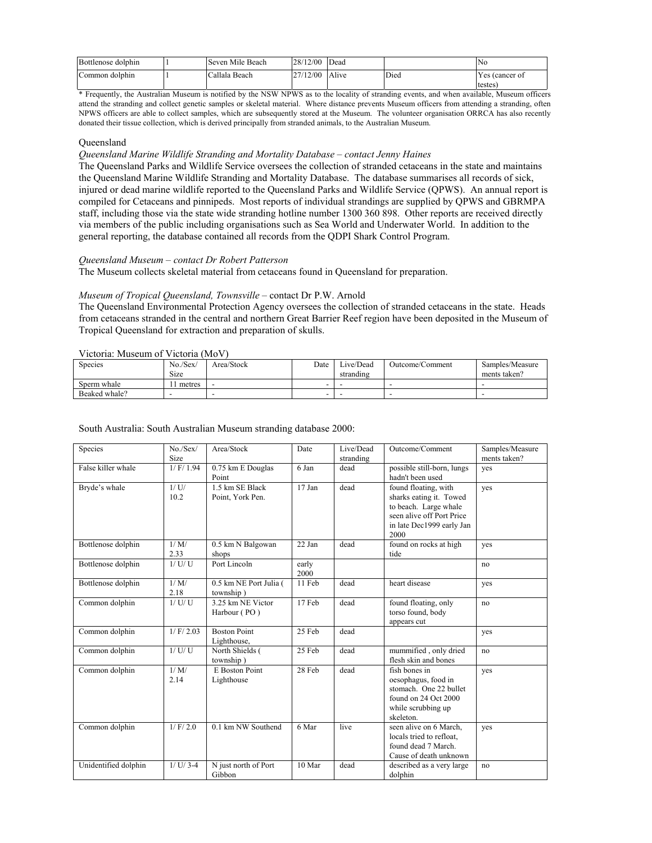| Bottlenose dolphin | Seven Mile Beach | 28/12/00 | Dead  |      | Nο                       |
|--------------------|------------------|----------|-------|------|--------------------------|
| Common dolphin     | Callala Beach    | 27/12/00 | Alive | Died | Yes (cancer of<br>testes |

\* Frequently, the Australian Museum is notified by the NSW NPWS as to the locality of stranding events, and when available, Museum officers attend the stranding and collect genetic samples or skeletal material. Where distance prevents Museum officers from attending a stranding, often NPWS officers are able to collect samples, which are subsequently stored at the Museum. The volunteer organisation ORRCA has also recently donated their tissue collection, which is derived principally from stranded animals, to the Australian Museum.

### **Oueensland**

### *Queensland Marine Wildlife Stranding and Mortality Database – contact Jenny Haines*

The Queensland Parks and Wildlife Service oversees the collection of stranded cetaceans in the state and maintains the Queensland Marine Wildlife Stranding and Mortality Database. The database summarises all records of sick, injured or dead marine wildlife reported to the Queensland Parks and Wildlife Service (QPWS). An annual report is compiled for Cetaceans and pinnipeds. Most reports of individual strandings are supplied by QPWS and GBRMPA staff, including those via the state wide stranding hotline number 1300 360 898. Other reports are received directly via members of the public including organisations such as Sea World and Underwater World. In addition to the general reporting, the database contained all records from the QDPI Shark Control Program.

## *Queensland Museum – contact Dr Robert Patterson*

The Museum collects skeletal material from cetaceans found in Queensland for preparation.

### *Museum of Tropical Queensland, Townsville* – contact Dr P.W. Arnold

The Queensland Environmental Protection Agency oversees the collection of stranded cetaceans in the state. Heads from cetaceans stranded in the central and northern Great Barrier Reef region have been deposited in the Museum of Tropical Queensland for extraction and preparation of skulls.

### Victoria: Museum of Victoria (MoV)

| <b>Species</b> | No./Sex<br>Size | Area/Stock | Date | Live/Dead<br>stranding | Outcome/Comment | Samples/Measure<br>ments taken? |
|----------------|-----------------|------------|------|------------------------|-----------------|---------------------------------|
| Sperm whale    | metres          |            |      |                        |                 |                                 |
| Beaked whale?  |                 |            |      |                        |                 |                                 |

### South Australia: South Australian Museum stranding database 2000:

| Species              | No./Sex/    | Area/Stock                          | Date     | Live/Dead | Outcome/Comment            | Samples/Measure |
|----------------------|-------------|-------------------------------------|----------|-----------|----------------------------|-----------------|
|                      | Size        |                                     |          | stranding |                            | ments taken?    |
| False killer whale   | 1/F/1.94    | 0.75 km E Douglas                   | 6 Jan    | dead      | possible still-born, lungs | ves             |
|                      |             | Point                               |          |           | hadn't been used           |                 |
| Bryde's whale        | 1/U         | 1.5 km SE Black                     | $17$ Jan | dead      | found floating, with       | yes             |
|                      | 10.2        | Point, York Pen.                    |          |           | sharks eating it. Towed    |                 |
|                      |             |                                     |          |           | to beach. Large whale      |                 |
|                      |             |                                     |          |           | seen alive off Port Price  |                 |
|                      |             |                                     |          |           | in late Dec1999 early Jan  |                 |
|                      |             |                                     |          |           | 2000                       |                 |
| Bottlenose dolphin   | 1/M/        | 0.5 km N Balgowan                   | 22 Jan   | dead      | found on rocks at high     | yes             |
|                      | 2.33        | shops                               |          |           | tide                       |                 |
| Bottlenose dolphin   | $1/$ U/U    | Port Lincoln                        | early    |           |                            | no              |
|                      | 1/M/        |                                     | 2000     | dead      | heart disease              |                 |
| Bottlenose dolphin   | 2.18        | 0.5 km NE Port Julia (<br>township) | 11 Feb   |           |                            | ves             |
| Common dolphin       | 1/U/U       | 3.25 km NE Victor                   | 17 Feb   | dead      | found floating, only       | no              |
|                      |             | Harbour (PO)                        |          |           | torso found, body          |                 |
|                      |             |                                     |          |           | appears cut                |                 |
| Common dolphin       | 1/F/2.03    | <b>Boston Point</b>                 | 25 Feb   | dead      |                            | yes             |
|                      |             | Lighthouse,                         |          |           |                            |                 |
| Common dolphin       | 1/U/U       | North Shields (                     | 25 Feb   | dead      | mummified, only dried      | no              |
|                      |             | township)                           |          |           | flesh skin and bones       |                 |
| Common dolphin       | 1/M/        | <b>E</b> Boston Point               | 28 Feb   | dead      | fish bones in              | yes             |
|                      | 2.14        | Lighthouse                          |          |           | oesophagus, food in        |                 |
|                      |             |                                     |          |           | stomach. One 22 bullet     |                 |
|                      |             |                                     |          |           | found on 24 Oct 2000       |                 |
|                      |             |                                     |          |           | while scrubbing up         |                 |
|                      |             |                                     |          |           | skeleton.                  |                 |
| Common dolphin       | 1/F/2.0     | 0.1 km NW Southend                  | 6 Mar    | live      | seen alive on 6 March,     | yes             |
|                      |             |                                     |          |           | locals tried to refloat,   |                 |
|                      |             |                                     |          |           | found dead 7 March.        |                 |
|                      |             |                                     |          |           | Cause of death unknown     |                 |
| Unidentified dolphin | $1/$ U/ 3-4 | N just north of Port                | 10 Mar   | dead      | described as a very large  | no              |
|                      |             | Gibbon                              |          |           | dolphin                    |                 |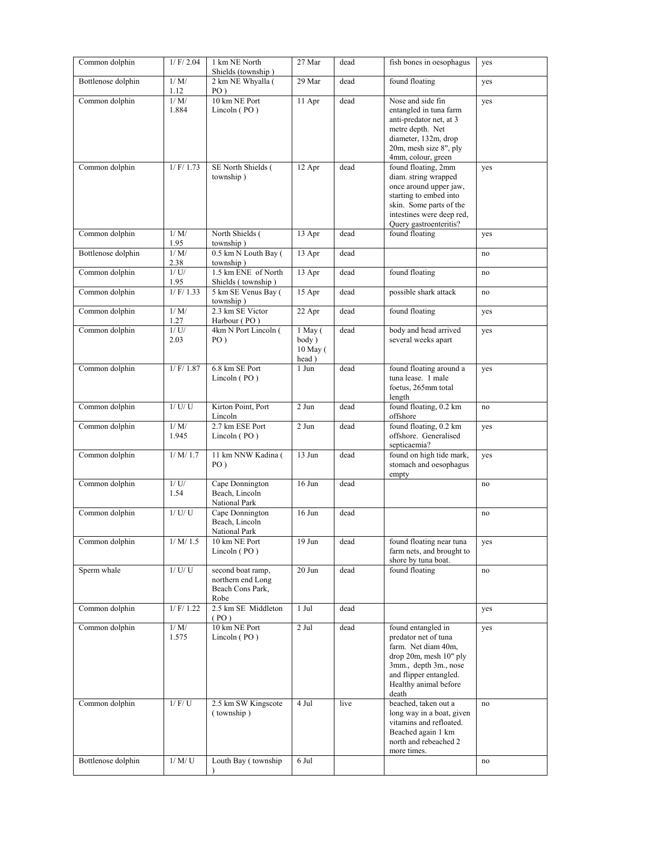| Common dolphin     | $1/$ F/ 2.04    | 1 km NE North<br>Shields (township)                                | 27 Mar                                    | dead | fish bones in oesophagus                                                                                                                                                          | yes |
|--------------------|-----------------|--------------------------------------------------------------------|-------------------------------------------|------|-----------------------------------------------------------------------------------------------------------------------------------------------------------------------------------|-----|
| Bottlenose dolphin | 1/M/<br>1.12    | 2 km NE Whyalla (<br>$PO$ )                                        | 29 Mar                                    | dead | found floating                                                                                                                                                                    | yes |
| Common dolphin     | 1/M/<br>1.884   | 10 km NE Port<br>Lincoln (PO)                                      | 11 Apr                                    | dead | Nose and side fin<br>entangled in tuna farm<br>anti-predator net, at 3<br>metre depth. Net<br>diameter, 132m, drop<br>20m, mesh size 8", ply<br>4mm, colour, green                | yes |
| Common dolphin     | 1/F/1.73        | SE North Shields (<br>township)                                    | 12 Apr                                    | dead | found floating, 2mm<br>diam. string wrapped<br>once around upper jaw,<br>starting to embed into<br>skin. Some parts of the<br>intestines were deep red,<br>Query gastroenteritis? | yes |
| Common dolphin     | 1/M/<br>1.95    | North Shields (<br>township)                                       | 13 Apr                                    | dead | found floating                                                                                                                                                                    | yes |
| Bottlenose dolphin | 1/M/<br>2.38    | 0.5 km N Louth Bay (<br>township)                                  | 13 Apr                                    | dead |                                                                                                                                                                                   | no  |
| Common dolphin     | 1/U<br>1.95     | 1.5 km ENE of North<br>Shields (township)                          | 13 Apr                                    | dead | found floating                                                                                                                                                                    | no  |
| Common dolphin     | 1/F/1.33        | 5 km SE Venus Bay (<br>township)                                   | 15 Apr                                    | dead | possible shark attack                                                                                                                                                             | no  |
| Common dolphin     | 1/M/<br>1.27    | 2.3 km SE Victor<br>Harbour (PO)                                   | 22 Apr                                    | dead | found floating                                                                                                                                                                    | yes |
| Common dolphin     | $1/$ U/<br>2.03 | 4km N Port Lincoln (<br>$PO$ )                                     | $1$ May $($<br>body)<br>10 May (<br>head) | dead | body and head arrived<br>several weeks apart                                                                                                                                      | yes |
| Common dolphin     | $1/$ F/ $1.87$  | 6.8 km SE Port<br>Lincoln (PO)                                     | 1 Jun                                     | dead | found floating around a<br>tuna lease. 1 male<br>foetus, 265mm total<br>length                                                                                                    | yes |
| Common dolphin     | $1/$ U/U        | Kirton Point, Port<br>Lincoln                                      | 2 Jun                                     | dead | found floating, 0.2 km<br>offshore                                                                                                                                                | no  |
| Common dolphin     | 1/M/<br>1.945   | 2.7 km ESE Port<br>Lincoln (PO)                                    | 2 Jun                                     | dead | found floating, 0.2 km<br>offshore. Generalised<br>septicaemia?                                                                                                                   | yes |
| Common dolphin     | 1/M/1.7         | 11 km NNW Kadina (<br>$PO$ )                                       | 13 Jun                                    | dead | found on high tide mark,<br>stomach and oesophagus<br>empty                                                                                                                       | yes |
| Common dolphin     | $1/$ U/<br>1.54 | Cape Donnington<br>Beach, Lincoln<br>National Park                 | 16 Jun                                    | dead |                                                                                                                                                                                   | no  |
| Common dolphin     | 1/U/U           | Cape Donnington<br>Beach, Lincoln<br>National Park                 | 16 Jun                                    | dead |                                                                                                                                                                                   | no  |
| Common dolphin     | $1/\,M/\,1.5$   | 10 km NE Port<br>Lincoln (PO)                                      | 19 Jun                                    | dead | found floating near tuna<br>farm nets, and brought to<br>shore by tuna boat.                                                                                                      | yes |
| Sperm whale        | $1/$ U/ U $\,$  | second boat ramp,<br>northern end Long<br>Beach Cons Park,<br>Robe | 20 Jun                                    | dead | found floating                                                                                                                                                                    | no  |
| Common dolphin     | $1/$ F/ 1.22    | 2.5 km SE Middleton<br>(PO)                                        | 1 Jul                                     | dead |                                                                                                                                                                                   | yes |
| Common dolphin     | 1/M/<br>1.575   | 10 km NE Port<br>Lincoln (PO)                                      | $2$ Jul                                   | dead | found entangled in<br>predator net of tuna<br>farm. Net diam 40m,<br>drop 20m, mesh 10" ply<br>3mm., depth 3m., nose<br>and flipper entangled.<br>Healthy animal before<br>death  | yes |
| Common dolphin     | 1/F/U           | 2.5 km SW Kingscote<br>(township)                                  | 4 Jul                                     | live | beached, taken out a<br>long way in a boat, given<br>vitamins and refloated.<br>Beached again 1 km<br>north and rebeached 2<br>more times.                                        | no  |
| Bottlenose dolphin | 1/M/U           | Louth Bay (township                                                | 6 Jul                                     |      |                                                                                                                                                                                   | no  |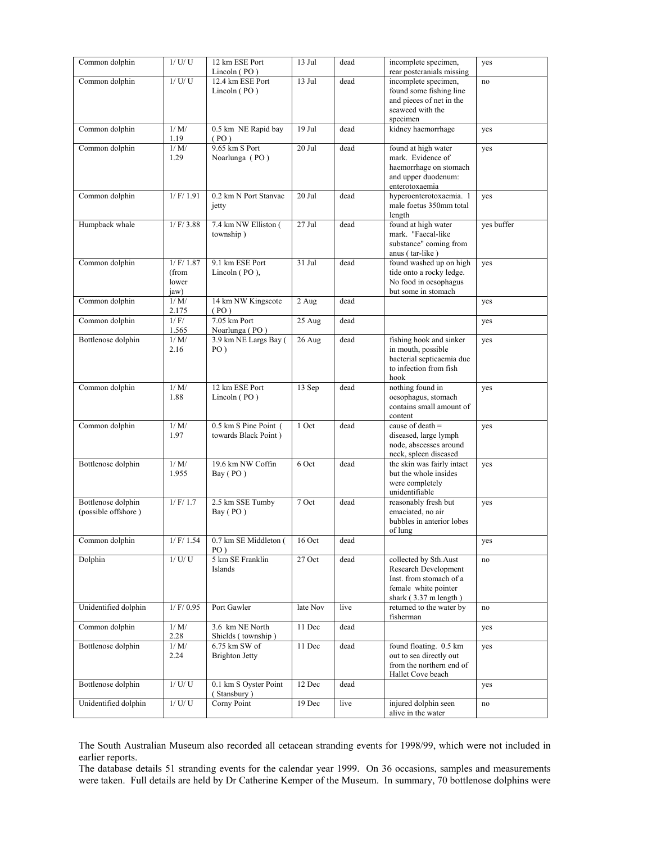| Common dolphin                            | $1/$ U/U                                 | 12 km ESE Port<br>Lincoln $(PO)$              | 13 Jul   | dead | incomplete specimen,<br>rear postcranials missing                                                                                   | yes        |
|-------------------------------------------|------------------------------------------|-----------------------------------------------|----------|------|-------------------------------------------------------------------------------------------------------------------------------------|------------|
| Common dolphin                            | $1/$ U/U                                 | 12.4 km ESE Port<br>Lincoln $(PO)$            | 13 Jul   | dead | incomplete specimen,<br>found some fishing line<br>and pieces of net in the<br>seaweed with the<br>specimen                         | no         |
| Common dolphin                            | 1/M/<br>1.19                             | 0.5 km NE Rapid bay<br>(PO)                   | $19$ Jul | dead | kidney haemorrhage                                                                                                                  | yes        |
| Common dolphin                            | 1/M/<br>1.29                             | 9.65 km S Port<br>Noarlunga (PO)              | 20 Jul   | dead | found at high water<br>mark. Evidence of<br>haemorrhage on stomach<br>and upper duodenum:<br>enterotoxaemia                         | yes        |
| Common dolphin                            | 1/F/1.91                                 | 0.2 km N Port Stanvac<br>jetty                | 20 Jul   | dead | hyperoenterotoxaemia. 1<br>male foetus 350mm total<br>length                                                                        | yes        |
| Humpback whale                            | 1/F/3.88                                 | 7.4 km NW Elliston (<br>township)             | 27 Jul   | dead | found at high water<br>mark. "Faecal-like<br>substance" coming from<br>anus (tar-like)                                              | yes buffer |
| Common dolphin                            | $1/$ F/ $1.87$<br>(from<br>lower<br>jaw) | 9.1 km ESE Port<br>Lincoln (PO),              | $31$ Jul | dead | found washed up on high<br>tide onto a rocky ledge.<br>No food in oesophagus<br>but some in stomach                                 | yes        |
| Common dolphin                            | 1/M/<br>2.175                            | 14 km NW Kingscote<br>(PO)                    | 2 Aug    | dead |                                                                                                                                     | yes        |
| Common dolphin                            | 1/F/<br>1.565                            | $7.05$ km Port<br>Noarlunga (PO)              | 25 Aug   | dead |                                                                                                                                     | yes        |
| Bottlenose dolphin                        | 1/M/<br>2.16                             | 3.9 km NE Largs Bay (<br>$PO$ )               | 26 Aug   | dead | fishing hook and sinker<br>in mouth, possible<br>bacterial septicaemia due<br>to infection from fish<br>hook                        | yes        |
| Common dolphin                            | 1/M/<br>1.88                             | 12 km ESE Port<br>Lincoln (PO)                | 13 Sep   | dead | nothing found in<br>oesophagus, stomach<br>contains small amount of<br>content                                                      | yes        |
| Common dolphin                            | 1/M/<br>1.97                             | 0.5 km S Pine Point (<br>towards Black Point) | 1 Oct    | dead | cause of death $=$<br>diseased, large lymph<br>node, abscesses around<br>neck, spleen diseased                                      | yes        |
| Bottlenose dolphin                        | 1/M/<br>1.955                            | 19.6 km NW Coffin<br>Bay (PO)                 | 6 Oct    | dead | the skin was fairly intact<br>but the whole insides<br>were completely<br>unidentifiable                                            | yes        |
| Bottlenose dolphin<br>(possible offshore) | $1/$ F/ 1.7                              | 2.5 km SSE Tumby<br>Bay (PO)                  | 7 Oct    | dead | reasonably fresh but<br>emaciated, no air<br>bubbles in anterior lobes<br>of lung                                                   | yes        |
| Common dolphin                            | $1/$ F/ 1.54                             | 0.7 km SE Middleton (<br>$PO$ )               | 16 Oct   | dead |                                                                                                                                     | yes        |
| Dolphin                                   | $1/$ U/ U $\,$                           | 5 km SE Franklin<br>Islands                   | 27 Oct   | dead | collected by Sth.Aust<br>Research Development<br>Inst. from stomach of a<br>female white pointer<br>shark $(3.37 \text{ m length})$ | no         |
| Unidentified dolphin                      | $1/$ F/ 0.95                             | Port Gawler                                   | late Nov | live | returned to the water by<br>fisherman                                                                                               | no         |
| Common dolphin                            | 1/M/<br>2.28                             | 3.6 km NE North<br>Shields (township)         | 11 Dec   | dead |                                                                                                                                     | yes        |
| Bottlenose dolphin                        | 1/M/<br>2.24                             | 6.75 km SW of<br><b>Brighton Jetty</b>        | 11 Dec   | dead | found floating. 0.5 km<br>out to sea directly out<br>from the northern end of<br>Hallet Cove beach                                  | yes        |
| Bottlenose dolphin                        | $1/$ U/ U $\,$                           | 0.1 km S Oyster Point<br>(Stansbury)          | $12$ Dec | dead |                                                                                                                                     | yes        |
| Unidentified dolphin                      | $1/\,U/\,U$                              | Corny Point                                   | 19 Dec   | live | injured dolphin seen<br>alive in the water                                                                                          | no         |

The South Australian Museum also recorded all cetacean stranding events for 1998/99, which were not included in earlier reports.

The database details 51 stranding events for the calendar year 1999. On 36 occasions, samples and measurements were taken. Full details are held by Dr Catherine Kemper of the Museum. In summary, 70 bottlenose dolphins were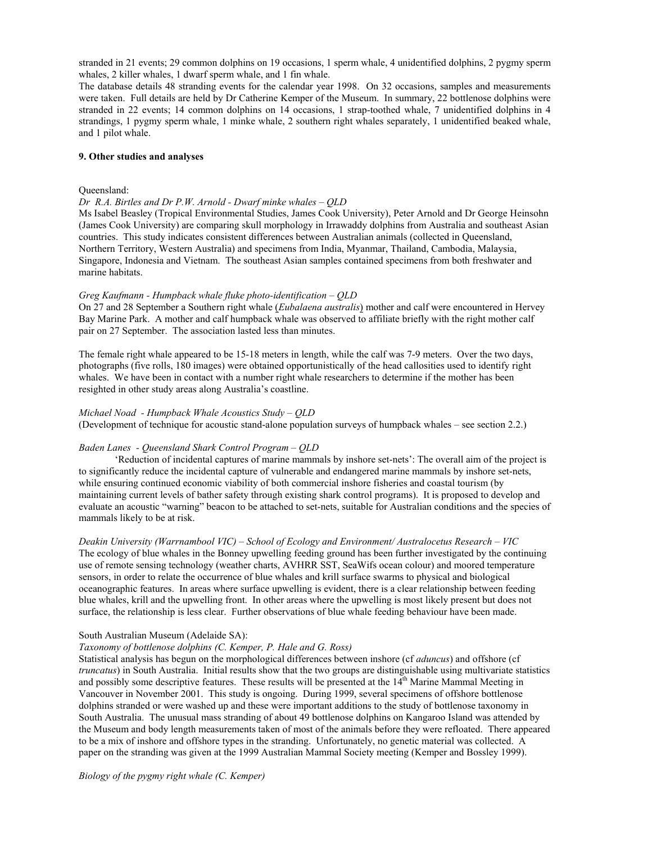stranded in 21 events; 29 common dolphins on 19 occasions, 1 sperm whale, 4 unidentified dolphins, 2 pygmy sperm whales, 2 killer whales, 1 dwarf sperm whale, and 1 fin whale.

The database details 48 stranding events for the calendar year 1998. On 32 occasions, samples and measurements were taken. Full details are held by Dr Catherine Kemper of the Museum. In summary, 22 bottlenose dolphins were stranded in 22 events; 14 common dolphins on 14 occasions, 1 strap-toothed whale, 7 unidentified dolphins in 4 strandings, 1 pygmy sperm whale, 1 minke whale, 2 southern right whales separately, 1 unidentified beaked whale, and 1 pilot whale.

### **9. Other studies and analyses**

#### Queensland:

#### *Dr R.A. Birtles and Dr P.W. Arnold - Dwarf minke whales – QLD*

Ms Isabel Beasley (Tropical Environmental Studies, James Cook University), Peter Arnold and Dr George Heinsohn (James Cook University) are comparing skull morphology in Irrawaddy dolphins from Australia and southeast Asian countries. This study indicates consistent differences between Australian animals (collected in Queensland, Northern Territory, Western Australia) and specimens from India, Myanmar, Thailand, Cambodia, Malaysia, Singapore, Indonesia and Vietnam. The southeast Asian samples contained specimens from both freshwater and marine habitats.

### *Greg Kaufmann - Humpback whale fluke photo-identification – QLD*

On 27 and 28 September a Southern right whale (*Eubalaena australis*) mother and calf were encountered in Hervey Bay Marine Park. A mother and calf humpback whale was observed to affiliate briefly with the right mother calf pair on 27 September. The association lasted less than minutes.

The female right whale appeared to be 15-18 meters in length, while the calf was 7-9 meters. Over the two days, photographs (five rolls, 180 images) were obtained opportunistically of the head callosities used to identify right whales. We have been in contact with a number right whale researchers to determine if the mother has been resighted in other study areas along Australia's coastline.

#### *Michael Noad - Humpback Whale Acoustics Study – QLD*

(Development of technique for acoustic stand-alone population surveys of humpback whales – see section 2.2.)

### *Baden Lanes - Queensland Shark Control Program – QLD*

'Reduction of incidental captures of marine mammals by inshore set-nets': The overall aim of the project is to significantly reduce the incidental capture of vulnerable and endangered marine mammals by inshore set-nets, while ensuring continued economic viability of both commercial inshore fisheries and coastal tourism (by maintaining current levels of bather safety through existing shark control programs). It is proposed to develop and evaluate an acoustic "warning" beacon to be attached to set-nets, suitable for Australian conditions and the species of mammals likely to be at risk.

*Deakin University (Warrnambool VIC) – School of Ecology and Environment/ Australocetus Research – VIC*  The ecology of blue whales in the Bonney upwelling feeding ground has been further investigated by the continuing use of remote sensing technology (weather charts, AVHRR SST, SeaWifs ocean colour) and moored temperature sensors, in order to relate the occurrence of blue whales and krill surface swarms to physical and biological oceanographic features. In areas where surface upwelling is evident, there is a clear relationship between feeding blue whales, krill and the upwelling front. In other areas where the upwelling is most likely present but does not surface, the relationship is less clear. Further observations of blue whale feeding behaviour have been made.

#### South Australian Museum (Adelaide SA):

# *Taxonomy of bottlenose dolphins (C. Kemper, P. Hale and G. Ross)*

Statistical analysis has begun on the morphological differences between inshore (cf *aduncus*) and offshore (cf *truncatus*) in South Australia. Initial results show that the two groups are distinguishable using multivariate statistics and possibly some descriptive features. These results will be presented at the  $14<sup>th</sup>$  Marine Mammal Meeting in Vancouver in November 2001. This study is ongoing. During 1999, several specimens of offshore bottlenose dolphins stranded or were washed up and these were important additions to the study of bottlenose taxonomy in South Australia. The unusual mass stranding of about 49 bottlenose dolphins on Kangaroo Island was attended by the Museum and body length measurements taken of most of the animals before they were refloated. There appeared to be a mix of inshore and offshore types in the stranding. Unfortunately, no genetic material was collected. A paper on the stranding was given at the 1999 Australian Mammal Society meeting (Kemper and Bossley 1999).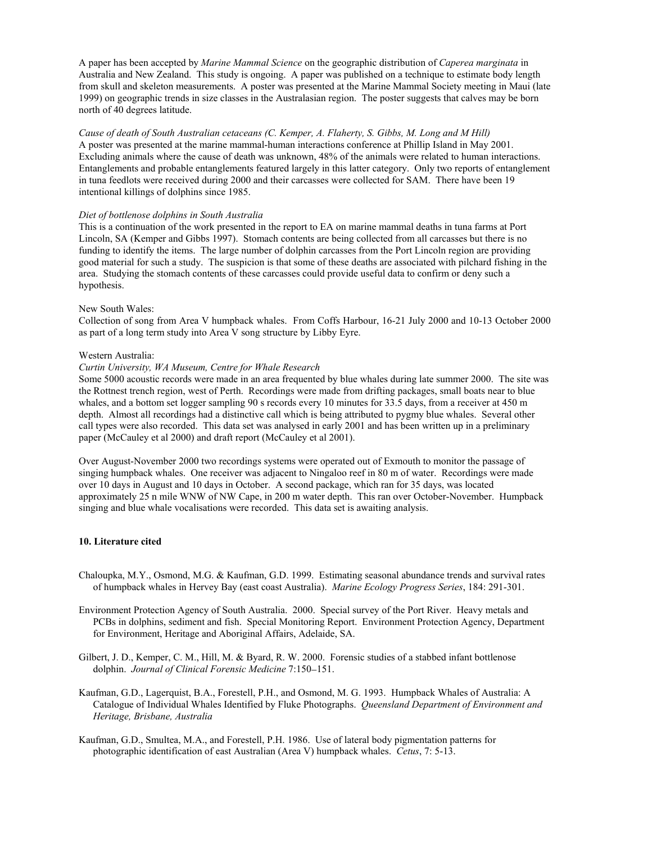A paper has been accepted by *Marine Mammal Science* on the geographic distribution of *Caperea marginata* in Australia and New Zealand. This study is ongoing. A paper was published on a technique to estimate body length from skull and skeleton measurements. A poster was presented at the Marine Mammal Society meeting in Maui (late 1999) on geographic trends in size classes in the Australasian region. The poster suggests that calves may be born north of 40 degrees latitude.

*Cause of death of South Australian cetaceans (C. Kemper, A. Flaherty, S. Gibbs, M. Long and M Hill)*  A poster was presented at the marine mammal-human interactions conference at Phillip Island in May 2001. Excluding animals where the cause of death was unknown, 48% of the animals were related to human interactions. Entanglements and probable entanglements featured largely in this latter category. Only two reports of entanglement in tuna feedlots were received during 2000 and their carcasses were collected for SAM. There have been 19 intentional killings of dolphins since 1985.

### *Diet of bottlenose dolphins in South Australia*

This is a continuation of the work presented in the report to EA on marine mammal deaths in tuna farms at Port Lincoln, SA (Kemper and Gibbs 1997). Stomach contents are being collected from all carcasses but there is no funding to identify the items. The large number of dolphin carcasses from the Port Lincoln region are providing good material for such a study. The suspicion is that some of these deaths are associated with pilchard fishing in the area. Studying the stomach contents of these carcasses could provide useful data to confirm or deny such a hypothesis.

#### New South Wales:

Collection of song from Area V humpback whales. From Coffs Harbour, 16-21 July 2000 and 10-13 October 2000 as part of a long term study into Area V song structure by Libby Eyre.

#### Western Australia:

### *Curtin University, WA Museum, Centre for Whale Research*

Some 5000 acoustic records were made in an area frequented by blue whales during late summer 2000. The site was the Rottnest trench region, west of Perth. Recordings were made from drifting packages, small boats near to blue whales, and a bottom set logger sampling 90 s records every 10 minutes for 33.5 days, from a receiver at 450 m depth. Almost all recordings had a distinctive call which is being attributed to pygmy blue whales. Several other call types were also recorded. This data set was analysed in early 2001 and has been written up in a preliminary paper (McCauley et al 2000) and draft report (McCauley et al 2001).

Over August-November 2000 two recordings systems were operated out of Exmouth to monitor the passage of singing humpback whales. One receiver was adjacent to Ningaloo reef in 80 m of water. Recordings were made over 10 days in August and 10 days in October. A second package, which ran for 35 days, was located approximately 25 n mile WNW of NW Cape, in 200 m water depth. This ran over October-November. Humpback singing and blue whale vocalisations were recorded. This data set is awaiting analysis.

### **10. Literature cited**

- Chaloupka, M.Y., Osmond, M.G. & Kaufman, G.D. 1999. Estimating seasonal abundance trends and survival rates of humpback whales in Hervey Bay (east coast Australia). *Marine Ecology Progress Series*, 184: 291-301.
- Environment Protection Agency of South Australia. 2000. Special survey of the Port River. Heavy metals and PCBs in dolphins, sediment and fish. Special Monitoring Report. Environment Protection Agency, Department for Environment, Heritage and Aboriginal Affairs, Adelaide, SA.
- Gilbert, J. D., Kemper, C. M., Hill, M. & Byard, R. W. 2000. Forensic studies of a stabbed infant bottlenose dolphin. *Journal of Clinical Forensic Medicine* 7:150−151.
- Kaufman, G.D., Lagerquist, B.A., Forestell, P.H., and Osmond, M. G. 1993. Humpback Whales of Australia: A Catalogue of Individual Whales Identified by Fluke Photographs. *Queensland Department of Environment and Heritage, Brisbane, Australia*
- Kaufman, G.D., Smultea, M.A., and Forestell, P.H. 1986. Use of lateral body pigmentation patterns for photographic identification of east Australian (Area V) humpback whales. *Cetus*, 7: 5-13.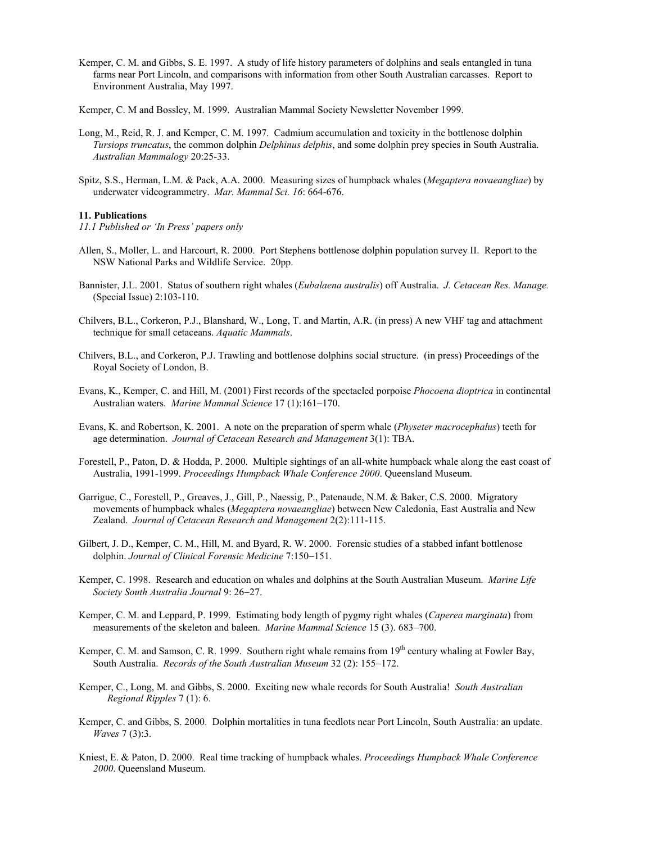Kemper, C. M. and Gibbs, S. E. 1997. A study of life history parameters of dolphins and seals entangled in tuna farms near Port Lincoln, and comparisons with information from other South Australian carcasses. Report to Environment Australia, May 1997.

Kemper, C. M and Bossley, M. 1999. Australian Mammal Society Newsletter November 1999.

- Long, M., Reid, R. J. and Kemper, C. M. 1997. Cadmium accumulation and toxicity in the bottlenose dolphin *Tursiops truncatus*, the common dolphin *Delphinus delphis*, and some dolphin prey species in South Australia. *Australian Mammalogy* 20:25-33.
- Spitz, S.S., Herman, L.M. & Pack, A.A. 2000. Measuring sizes of humpback whales (*Megaptera novaeangliae*) by underwater videogrammetry. *Mar. Mammal Sci. 16*: 664-676.

#### **11. Publications**

- *11.1 Published or 'In Press' papers only*
- Allen, S., Moller, L. and Harcourt, R. 2000. Port Stephens bottlenose dolphin population survey II. Report to the NSW National Parks and Wildlife Service. 20pp.
- Bannister, J.L. 2001. Status of southern right whales (*Eubalaena australis*) off Australia. *J. Cetacean Res. Manage.* (Special Issue) 2:103-110.
- Chilvers, B.L., Corkeron, P.J., Blanshard, W., Long, T. and Martin, A.R. (in press) A new VHF tag and attachment technique for small cetaceans. *Aquatic Mammals*.
- Chilvers, B.L., and Corkeron, P.J. Trawling and bottlenose dolphins social structure. (in press) Proceedings of the Royal Society of London, B.
- Evans, K., Kemper, C. and Hill, M. (2001) First records of the spectacled porpoise *Phocoena dioptrica* in continental Australian waters. *Marine Mammal Science* 17 (1):161−170.
- Evans, K. and Robertson, K. 2001. A note on the preparation of sperm whale (*Physeter macrocephalus*) teeth for age determination. *Journal of Cetacean Research and Management* 3(1): TBA.
- Forestell, P., Paton, D. & Hodda, P. 2000. Multiple sightings of an all-white humpback whale along the east coast of Australia, 1991-1999. *Proceedings Humpback Whale Conference 2000*. Queensland Museum.
- Garrigue, C., Forestell, P., Greaves, J., Gill, P., Naessig, P., Patenaude, N.M. & Baker, C.S. 2000. Migratory movements of humpback whales (*Megaptera novaeangliae*) between New Caledonia, East Australia and New Zealand. *Journal of Cetacean Research and Management* 2(2):111-115.
- Gilbert, J. D., Kemper, C. M., Hill, M. and Byard, R. W. 2000. Forensic studies of a stabbed infant bottlenose dolphin. *Journal of Clinical Forensic Medicine* 7:150−151.
- Kemper, C. 1998. Research and education on whales and dolphins at the South Australian Museum. *Marine Life Society South Australia Journal* 9: 26−27.
- Kemper, C. M. and Leppard, P. 1999. Estimating body length of pygmy right whales (*Caperea marginata*) from measurements of the skeleton and baleen. *Marine Mammal Science* 15 (3). 683−700.
- Kemper, C. M. and Samson, C. R. 1999. Southern right whale remains from  $19<sup>th</sup>$  century whaling at Fowler Bay, South Australia. *Records of the South Australian Museum* 32 (2): 155−172.
- Kemper, C., Long, M. and Gibbs, S. 2000. Exciting new whale records for South Australia! *South Australian Regional Ripples* 7 (1): 6.
- Kemper, C. and Gibbs, S. 2000. Dolphin mortalities in tuna feedlots near Port Lincoln, South Australia: an update. *Waves* 7 (3):3.
- Kniest, E. & Paton, D. 2000. Real time tracking of humpback whales. *Proceedings Humpback Whale Conference 2000*. Queensland Museum.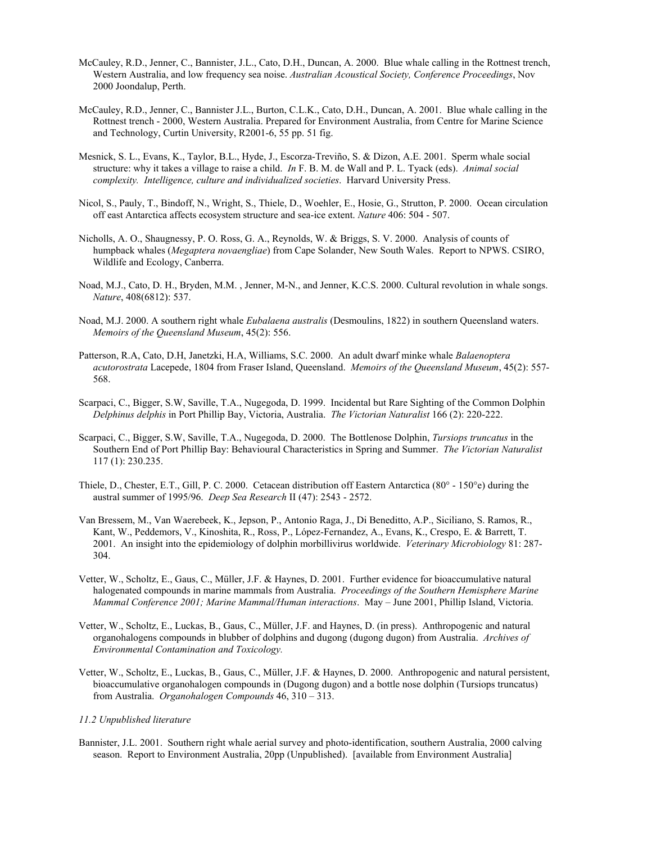- McCauley, R.D., Jenner, C., Bannister, J.L., Cato, D.H., Duncan, A. 2000. Blue whale calling in the Rottnest trench, Western Australia, and low frequency sea noise. *Australian Acoustical Society, Conference Proceedings*, Nov 2000 Joondalup, Perth.
- McCauley, R.D., Jenner, C., Bannister J.L., Burton, C.L.K., Cato, D.H., Duncan, A. 2001. Blue whale calling in the Rottnest trench - 2000, Western Australia. Prepared for Environment Australia, from Centre for Marine Science and Technology, Curtin University, R2001-6, 55 pp. 51 fig.
- Mesnick, S. L., Evans, K., Taylor, B.L., Hyde, J., Escorza-Treviño, S. & Dizon, A.E. 2001. Sperm whale social structure: why it takes a village to raise a child. *In* F. B. M. de Wall and P. L. Tyack (eds). *Animal social complexity. Intelligence, culture and individualized societies*. Harvard University Press.
- Nicol, S., Pauly, T., Bindoff, N., Wright, S., Thiele, D., Woehler, E., Hosie, G., Strutton, P. 2000. Ocean circulation off east Antarctica affects ecosystem structure and sea-ice extent. *Nature* 406: 504 - 507.
- Nicholls, A. O., Shaugnessy, P. O. Ross, G. A., Reynolds, W. & Briggs, S. V. 2000. Analysis of counts of humpback whales (*Megaptera novaengliae*) from Cape Solander, New South Wales. Report to NPWS. CSIRO, Wildlife and Ecology, Canberra.
- Noad, M.J., Cato, D. H., Bryden, M.M. , Jenner, M-N., and Jenner, K.C.S. 2000. Cultural revolution in whale songs. *Nature*, 408(6812): 537.
- Noad, M.J. 2000. A southern right whale *Eubalaena australis* (Desmoulins, 1822) in southern Queensland waters. *Memoirs of the Queensland Museum*, 45(2): 556.
- Patterson, R.A, Cato, D.H, Janetzki, H.A, Williams, S.C. 2000. An adult dwarf minke whale *Balaenoptera acutorostrata* Lacepede, 1804 from Fraser Island, Queensland. *Memoirs of the Queensland Museum*, 45(2): 557- 568.
- Scarpaci, C., Bigger, S.W, Saville, T.A., Nugegoda, D. 1999. Incidental but Rare Sighting of the Common Dolphin *Delphinus delphis* in Port Phillip Bay, Victoria, Australia. *The Victorian Naturalist* 166 (2): 220-222.
- Scarpaci, C., Bigger, S.W, Saville, T.A., Nugegoda, D. 2000. The Bottlenose Dolphin, *Tursiops truncatus* in the Southern End of Port Phillip Bay: Behavioural Characteristics in Spring and Summer. *The Victorian Naturalist* 117 (1): 230.235.
- Thiele, D., Chester, E.T., Gill, P. C. 2000. Cetacean distribution off Eastern Antarctica (80° 150°e) during the austral summer of 1995/96. *Deep Sea Research* II (47): 2543 - 2572.
- Van Bressem, M., Van Waerebeek, K., Jepson, P., Antonio Raga, J., Di Beneditto, A.P., Siciliano, S. Ramos, R., Kant, W., Peddemors, V., Kinoshita, R., Ross, P., López-Fernandez, A., Evans, K., Crespo, E. & Barrett, T. 2001. An insight into the epidemiology of dolphin morbillivirus worldwide. *Veterinary Microbiology* 81: 287- 304.
- Vetter, W., Scholtz, E., Gaus, C., Müller, J.F. & Haynes, D. 2001. Further evidence for bioaccumulative natural halogenated compounds in marine mammals from Australia. *Proceedings of the Southern Hemisphere Marine Mammal Conference 2001; Marine Mammal/Human interactions*. May – June 2001, Phillip Island, Victoria.
- Vetter, W., Scholtz, E., Luckas, B., Gaus, C., Müller, J.F. and Haynes, D. (in press). Anthropogenic and natural organohalogens compounds in blubber of dolphins and dugong (dugong dugon) from Australia. *Archives of Environmental Contamination and Toxicology.*
- Vetter, W., Scholtz, E., Luckas, B., Gaus, C., Müller, J.F. & Haynes, D. 2000. Anthropogenic and natural persistent, bioaccumulative organohalogen compounds in (Dugong dugon) and a bottle nose dolphin (Tursiops truncatus) from Australia. *Organohalogen Compounds* 46, 310 – 313.

### *11.2 Unpublished literature*

Bannister, J.L. 2001. Southern right whale aerial survey and photo-identification, southern Australia, 2000 calving season. Report to Environment Australia, 20pp (Unpublished). [available from Environment Australia]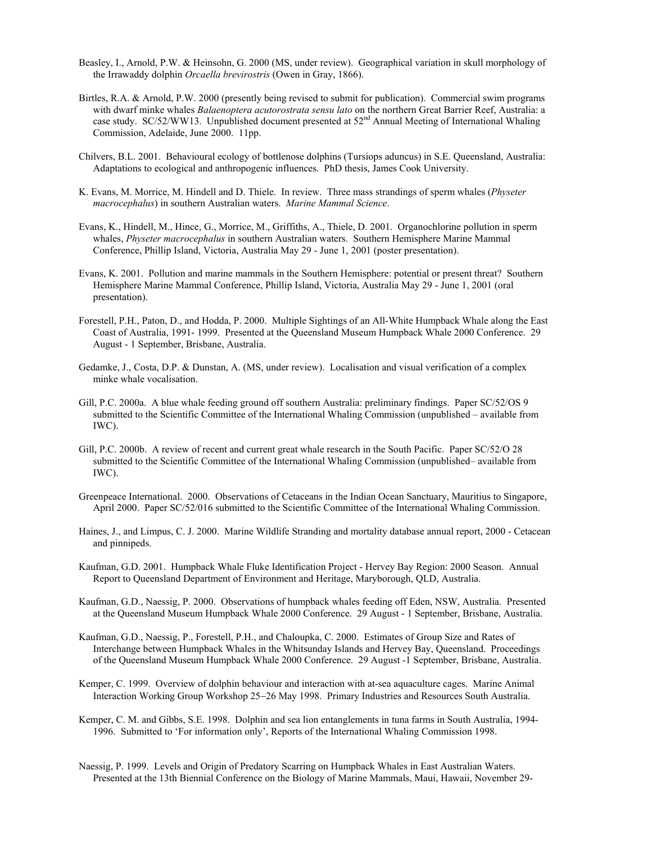- Beasley, I., Arnold, P.W. & Heinsohn, G. 2000 (MS, under review). Geographical variation in skull morphology of the Irrawaddy dolphin *Orcaella brevirostris* (Owen in Gray, 1866).
- Birtles, R.A. & Arnold, P.W. 2000 (presently being revised to submit for publication). Commercial swim programs with dwarf minke whales *Balaenoptera acutorostrata sensu lato* on the northern Great Barrier Reef, Australia: a case study.  $SC/52/WW13$ . Unpublished document presented at  $52<sup>nd</sup>$  Annual Meeting of International Whaling Commission, Adelaide, June 2000. 11pp.
- Chilvers, B.L. 2001. Behavioural ecology of bottlenose dolphins (Tursiops aduncus) in S.E. Queensland, Australia: Adaptations to ecological and anthropogenic influences. PhD thesis, James Cook University.
- K. Evans, M. Morrice, M. Hindell and D. Thiele. In review. Three mass strandings of sperm whales (*Physeter macrocephalus*) in southern Australian waters. *Marine Mammal Science*.
- Evans, K., Hindell, M., Hince, G., Morrice, M., Griffiths, A., Thiele, D. 2001. Organochlorine pollution in sperm whales, *Physeter macrocephalus* in southern Australian waters. Southern Hemisphere Marine Mammal Conference, Phillip Island, Victoria, Australia May 29 - June 1, 2001 (poster presentation).
- Evans, K. 2001. Pollution and marine mammals in the Southern Hemisphere: potential or present threat? Southern Hemisphere Marine Mammal Conference, Phillip Island, Victoria, Australia May 29 - June 1, 2001 (oral presentation).
- Forestell, P.H., Paton, D., and Hodda, P. 2000. Multiple Sightings of an All-White Humpback Whale along the East Coast of Australia, 1991- 1999. Presented at the Queensland Museum Humpback Whale 2000 Conference. 29 August - 1 September, Brisbane, Australia.
- Gedamke, J., Costa, D.P. & Dunstan, A. (MS, under review). Localisation and visual verification of a complex minke whale vocalisation.
- Gill, P.C. 2000a. A blue whale feeding ground off southern Australia: preliminary findings. Paper SC/52/OS 9 submitted to the Scientific Committee of the International Whaling Commission (unpublished – available from IWC).
- Gill, P.C. 2000b. A review of recent and current great whale research in the South Pacific. Paper SC/52/O 28 submitted to the Scientific Committee of the International Whaling Commission (unpublished– available from IWC).
- Greenpeace International. 2000. Observations of Cetaceans in the Indian Ocean Sanctuary, Mauritius to Singapore, April 2000. Paper SC/52/016 submitted to the Scientific Committee of the International Whaling Commission.
- Haines, J., and Limpus, C. J. 2000. Marine Wildlife Stranding and mortality database annual report, 2000 Cetacean and pinnipeds.
- Kaufman, G.D. 2001. Humpback Whale Fluke Identification Project Hervey Bay Region: 2000 Season. Annual Report to Queensland Department of Environment and Heritage, Maryborough, QLD, Australia.
- Kaufman, G.D., Naessig, P. 2000. Observations of humpback whales feeding off Eden, NSW, Australia. Presented at the Queensland Museum Humpback Whale 2000 Conference. 29 August - 1 September, Brisbane, Australia.
- Kaufman, G.D., Naessig, P., Forestell, P.H., and Chaloupka, C. 2000. Estimates of Group Size and Rates of Interchange between Humpback Whales in the Whitsunday Islands and Hervey Bay, Queensland. Proceedings of the Queensland Museum Humpback Whale 2000 Conference. 29 August -1 September, Brisbane, Australia.
- Kemper, C. 1999. Overview of dolphin behaviour and interaction with at-sea aquaculture cages. Marine Animal Interaction Working Group Workshop 25−26 May 1998. Primary Industries and Resources South Australia.
- Kemper, C. M. and Gibbs, S.E. 1998. Dolphin and sea lion entanglements in tuna farms in South Australia, 1994- 1996. Submitted to 'For information only', Reports of the International Whaling Commission 1998.
- Naessig, P. 1999. Levels and Origin of Predatory Scarring on Humpback Whales in East Australian Waters. Presented at the 13th Biennial Conference on the Biology of Marine Mammals, Maui, Hawaii, November 29-